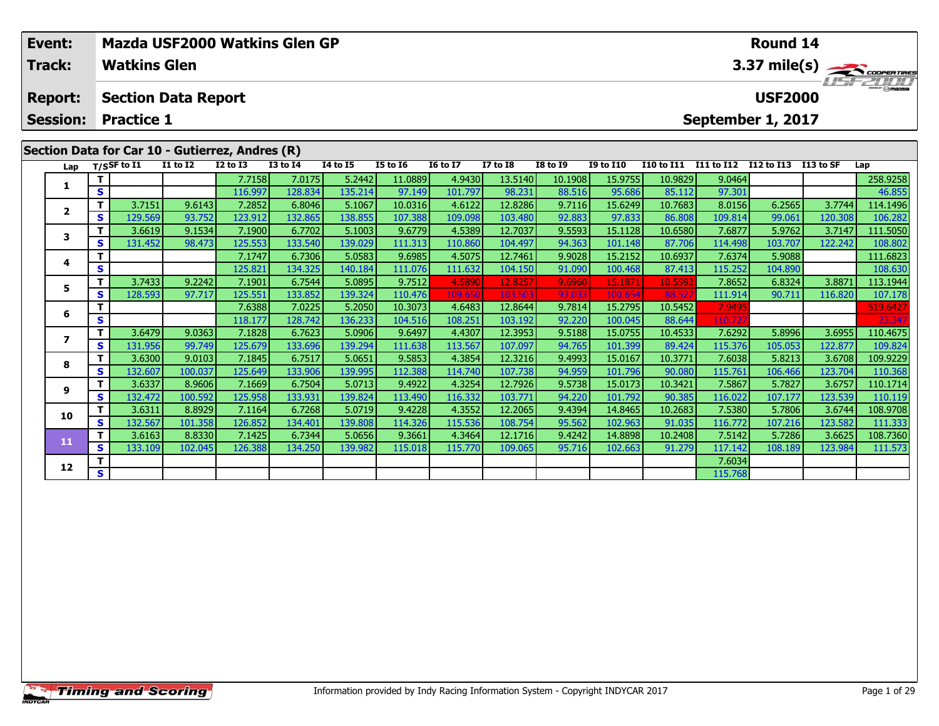| Event:<br><b>Track:</b>           |    | <b>Watkins Glen</b>         | Mazda USF2000 Watkins Glen GP                                      |                 |                 |                 | <b>Round 14</b><br>3.37 mile(s) |                 |                 |                 |                  |                   |            |                                     |           |          |
|-----------------------------------|----|-----------------------------|--------------------------------------------------------------------|-----------------|-----------------|-----------------|---------------------------------|-----------------|-----------------|-----------------|------------------|-------------------|------------|-------------------------------------|-----------|----------|
| <b>Report:</b><br><b>Session:</b> |    | <b>Practice 1</b>           | <b>Section Data Report</b>                                         |                 |                 |                 |                                 |                 |                 |                 |                  |                   |            | <b>USF2000</b><br>September 1, 2017 |           | $H = -H$ |
| Lap                               |    | $T/S$ SF to $\overline{11}$ | Section Data for Car 10 - Gutierrez, Andres (R)<br><b>I1 to I2</b> | <b>I2 to I3</b> | <b>I3 to I4</b> | <b>I4 to I5</b> | <b>I5 to I6</b>                 | <b>16 to 17</b> | <b>I7 to I8</b> | <b>I8 to 19</b> | <b>I9 to I10</b> | <b>I10 to I11</b> | I11 to I12 | I12 to I13                          | I13 to SF | Lap      |
|                                   |    |                             |                                                                    | 7.7158          | 7.0175          | 5.2442          | 11.0889                         | 4.9430          | 13.5140         | 10.1908         | 15.9755          | 10.9829           | 9.0464     |                                     |           | 258.9258 |
|                                   | S. |                             |                                                                    | 116.997         | 128.834         | 135.214         | 97.149                          | 101.797         | 98.231          | 88.516          | 95.686           | 85.112            | 97.301     |                                     |           | 46.855   |
|                                   |    | 3.7151                      | 9.6143                                                             | 7.2852          | 6.8046          | 5.1067          | 10.0316                         | 4.6122          | 12.8286         | 9.7116          | 15.6249          | 10.7683           | 8.0156     | 6.2565                              | 3.7744    | 114.1496 |
| 2                                 | S. | 129.569                     | 93.752                                                             | 123.912         | 132.865         | 138.855         | 107.388                         | 109.098         | 103.480         | 92.883          | 97.833           | 86.808            | 109.814    | 99.061                              | 120.308   | 106.282  |
| 3                                 |    | 3.6619                      | 9.1534                                                             | 7.1900          | 6.7702          | 5.1003          | 9.6779                          | 4.5389          | 12.7037         | 9.5593          | 15.1128          | 10.6580           | 7.6877     | 5.9762                              | 3.7147    | 111.5050 |
|                                   | S. | 131.452                     | 98.473                                                             | 125.553         | 133.540         | 139.029         | 111.313                         | 110.860         | 104.497         | 94.363          | 101.148          | 87.706            | 114.498    | 103.707                             | 122.242   | 108.802  |
| 4                                 |    |                             |                                                                    | 7.1747          | 6.7306          | 5.0583          | 9.6985                          | 4.5075          | 12.7461         | 9.9028          | 15.2152          | 10.6937           | 7.6374     | 5.9088                              |           | 111.6823 |
|                                   | S. |                             |                                                                    | 125.821         | 134.325         | 140.184         | 111.076                         | 111.632         | 104.150         | 91.090          | 100.468          | 87.413            | 115.252    | 104.890                             |           | 108.630  |
|                                   |    | 3.7433                      | 9.2242                                                             | 7.1901          | 6.7544          | 5.0895          | 9.7512                          | 4.5890          | 12.8257         | 9.6960          | 15.1871          | 10.5592           | 7.8652     | 6.8324                              | 3.8871    | 113.1944 |
|                                   | s. | 128.593                     | 97.717                                                             | 125.551         | 133.852         | 139.324         | 110.476                         | 109.650         | 103.503         | 93.033          | 100.654          | 88.527            | 111.914    | 90.711                              | 116.820   | 107.178  |

**<sup>T</sup>** 7.6388 7.0225 5.2050 10.3073 4.6483 12.8644 9.7814 15.2795 10.5452 7.9495 519.6427 **<sup>S</sup>** 118.177 128.742 136.233 104.516 108.251 103.192 92.220 100.045 88.644 110.727 23.347

7 | T | 3.6479| 9.0363| 7.1828| 6.7623| 5.0906| 9.6497| 4.4307| 12.3953| 9.5188| 15.0755| 10.4533| 7.6292| 5.8996| 3.6955| 110.4675<br>- S | 131.956| 99.749| 125.679| 133.696| 139.294| 111.638| 113.567| 107.097| 94.765| 101.3

8 | T | 3.6300 | 9.0103 | 7.1845 | 6.7517 | 5.0651 | 9.5853 | 4.3854 | 12.3216 | 9.4993 | 15.0167 | 10.3771 | 7.6038 | 5.8213 | 3.6708 | 109.9229 | 109.9229 | 109.9229 | 109.9229 | 109.9229 | 100.037 | 125.649 | 133.906 |

110.1714 | 3.6337| 8.9606| 7.1669| 6.7504| 5.0713| 9.4922| 4.3254| 12.7926| 9.5738| 15.0173| 10.3421| 7.5867| 5.7827| 3.6757| 110.1714<br>S | 132.472| 100.592| 125.958| 133.931| 139.824| 113.490| 116.332| 103.771| 94.220| 10

0 | T | 3.6311 8.8929| 7.1164| 6.7268| 5.0719| 9.4228| 4.3552| 12.2065| 9.4394| 14.8465| 10.2683| 7.5380| 5.7806| 3.6744| 108.9708<br>| S | 132.567| 101.358| 126.852| 134.401| 139.808| 114.326| 115.536| 108.754| 95.562| 102.9

**<sup>T</sup>** 3.6163 8.8330 7.1425 6.7344 5.0656 9.3661 4.3464 12.1716 9.4242 14.8898 10.2408 7.5142 5.7286 3.6625 108.7360 **<sup>S</sup>** 133.109 102.045 126.388 134.250 139.982 115.018 115.770 109.065 95.716 102.663 91.279 117.142 108.189 123.984 111.573

**d T** 115.768<br>**S** 115.768

**6**

**7**

**8**

**9**

**10**

**11**

**12**

109.824

110.119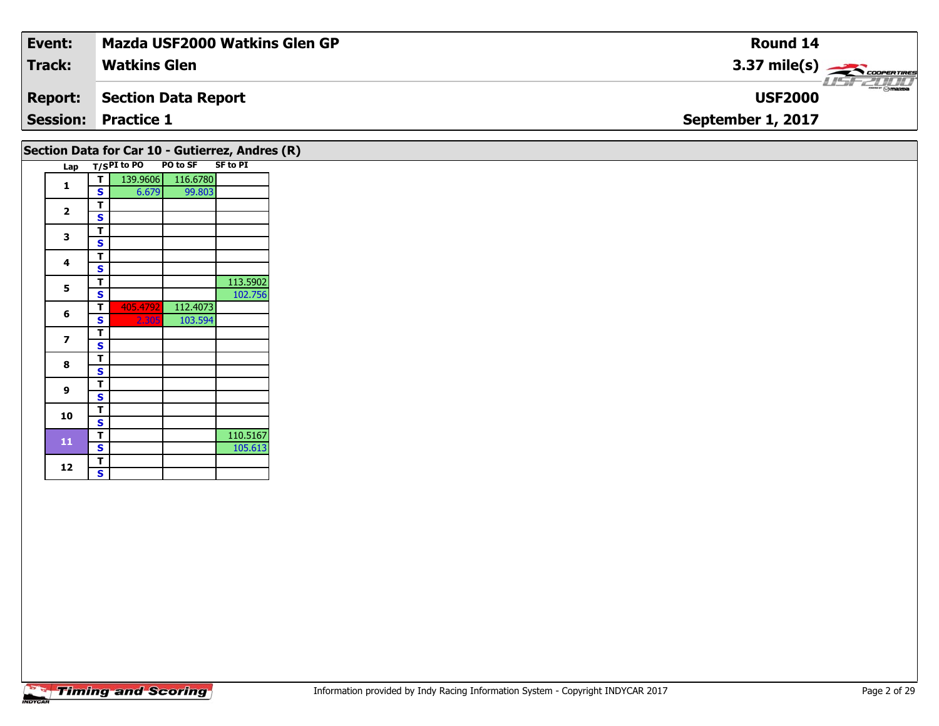| Event:         | Mazda USF2000 Watkins Glen GP                     | <b>Round 14</b>              |
|----------------|---------------------------------------------------|------------------------------|
| <b>Track:</b>  | <b>Watkins Glen</b>                               | $3.37 \text{ mile(s)}$       |
| <b>Report:</b> | Section Data Report                               | $-10.7720$<br><b>USF2000</b> |
|                | <b>Session: Practice 1</b>                        | September 1, 2017            |
|                | Section Data for Car 10 - Gutierrez, Andres $(R)$ |                              |

| Lap         |   | T/SPI to PO | PO to SF | <b>SF to PI</b> |  |
|-------------|---|-------------|----------|-----------------|--|
| 1           | т | 139.9606    | 116.6780 |                 |  |
|             | S | 6.679       | 99.803   |                 |  |
| $\mathbf 2$ | T |             |          |                 |  |
|             | S |             |          |                 |  |
| 3           | T |             |          |                 |  |
|             | S |             |          |                 |  |
| 4           | T |             |          |                 |  |
|             | S |             |          |                 |  |
| 5           | T |             |          | 113.5902        |  |
|             | S |             |          | 102.756         |  |
| 6           | T | 405.4792    | 112.4073 |                 |  |
|             | S | 2.305       | 103.594  |                 |  |
| 7           | т |             |          |                 |  |
|             | S |             |          |                 |  |
| 8           | т |             |          |                 |  |
|             | S |             |          |                 |  |
| 9           | т |             |          |                 |  |
|             | S |             |          |                 |  |
| 10          | т |             |          |                 |  |
|             | S |             |          |                 |  |
| 11          | т |             |          | 110.5167        |  |
|             | S |             |          | 105.613         |  |
| 12          | Т |             |          |                 |  |
|             | S |             |          |                 |  |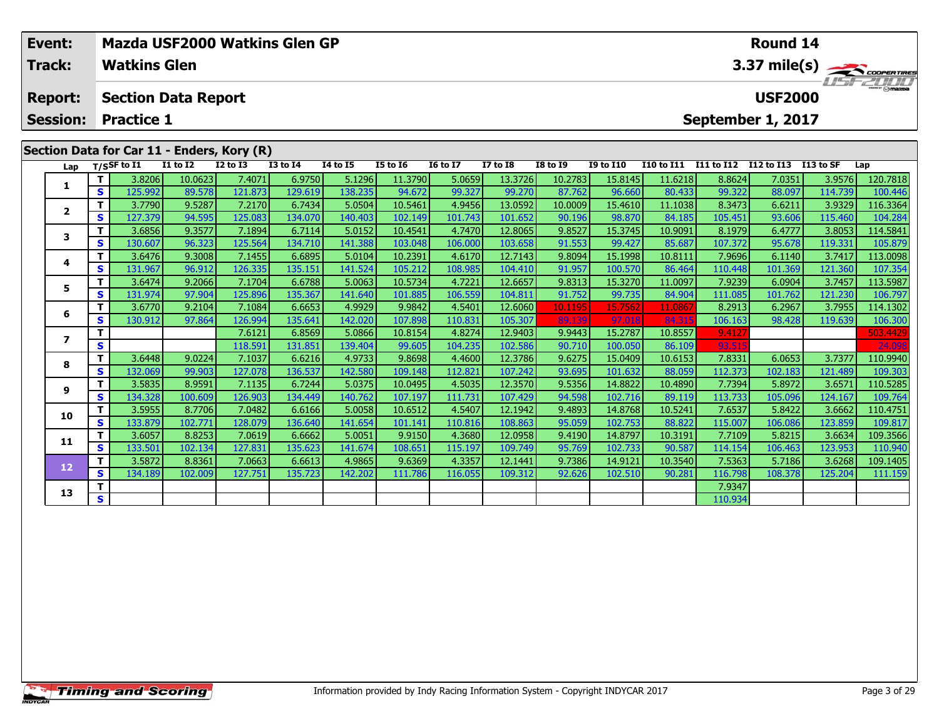| Event:<br><b>Track:</b> |     | <b>Watkins Glen</b>        |                 | Mazda USF2000 Watkins Glen GP              |              |                 | <b>Round 14</b><br>3.37 mile(s) |                 |                 |                 |                  |                                |            |                   |           |          |
|-------------------------|-----|----------------------------|-----------------|--------------------------------------------|--------------|-----------------|---------------------------------|-----------------|-----------------|-----------------|------------------|--------------------------------|------------|-------------------|-----------|----------|
| <b>Report:</b>          |     | <b>Section Data Report</b> |                 |                                            |              |                 |                                 |                 |                 |                 |                  | $H = - 1111$<br><b>USF2000</b> |            |                   |           |          |
| <b>Session:</b>         |     | <b>Practice 1</b>          |                 |                                            |              |                 |                                 |                 |                 |                 |                  |                                |            | September 1, 2017 |           |          |
|                         |     |                            |                 | Section Data for Car 11 - Enders, Kory (R) |              |                 |                                 |                 |                 |                 |                  |                                |            |                   |           |          |
| Lap                     |     | T/SSF to I1                | <b>I1 to I2</b> | $I2$ to $I3$                               | $I3$ to $I4$ | <b>I4 to I5</b> | <b>I5 to I6</b>                 | <b>16 to 17</b> | <b>I7 to I8</b> | <b>I8 to I9</b> | <b>I9 to I10</b> | <b>I10 to I11</b>              | I11 to I12 | I12 to I13        | I13 to SF | Lap      |
|                         |     | 3.8206                     | 10.0623         | 7.4071                                     | 6.9750       | 5.1296          | 11.3790                         | 5.0659          | 13.3726         | 10.2783         | 15.8145          | 11.6218                        | 8.8624     | 7.0351            | 3.9576    | 120.7818 |
|                         | s l | 125.992                    | 89.578          | 121.873                                    | 129.619      | 138.235         | 94.672                          | 99.327          | 99.270          | 87.762          | 96.660           | 80.433                         | 99.322     | 88.097            | 114.739   | 100.446  |
|                         |     | 3.7790                     | 9.5287          | 7.2170                                     | 6.7434       | 5.0504          | 10.5461                         | 4.9456          | 13.0592         | 10.0009         | 15.4610          | 11.1038                        | 8.3473     | 6.6211            | 3.9329    | 116.3364 |
| $\mathbf{2}$            | S.  | 127.379                    | 94.595          | 125.083                                    | 134.070      | 140.403         | 102.149                         | 101.743         | 101.652         | 90.196          | 98.870           | 84.185                         | 105.451    | 93.606            | 115.460   | 104.284  |
| 3                       |     | 3.6856                     | 9.3577          | 7.1894                                     | 6.7114       | 5.0152          | 10.4541                         | 4.7470          | 12.8065         | 9.8527          | 15.3745          | 10.9091                        | 8.1979     | 6.4777            | 3.8053    | 114.5841 |
|                         | s l | 130.607                    | 96.323          | 125.564                                    | 134.710      | 141.388         | 103.048                         | 106.000         | 103.658         | 91.553          | 99.427           | 85.687                         | 107.372    | 95.678            | 119.331   | 105.879  |
|                         |     | 3.6476                     | 9.3008          | 7.1455                                     | 6.6895       | 5.0104          | 10.2391                         | 4.6170          | 12.7143         | 9.8094          | 15.1998          | 10.8111                        | 7.9696     | 6.1140            | 3.7417    | 113.0098 |
| 4                       | s l | 131.967                    | 96.912          | 126.335                                    | 135.151      | 141.524         | 105.212                         | 108.985         | 104.410         | 91.957          | 100.570          | 86.464                         | 110.448    | 101.369           | 121.360   | 107.354  |
| 5                       |     | 3.6474                     | 9.2066          | 7.1704                                     | 6.6788       | 5.0063          | 10.5734                         | 4.7221          | 12.6657         | 9.8313          | 15.3270          | 11.0097                        | 7.9239     | 6.0904            | 3.7457    | 113.5987 |
|                         | s l | 131.974                    | 97.904          | 125.896                                    | 135.367      | 141.640         | 101.885                         | 106.559         | 104.811         | 91.752          | 99.735           | 84.904                         | 111.085    | 101.762           | 121.230   | 106.797  |
| 6                       |     | 3.6770                     | 9.2104          | 7.1084                                     | 6.6653       | 4.9929          | 9.9842                          | 4.5401          | 12.6060         | 10.1195         | 15.7562          | 11.086                         | 8.2913     | 6.2967            | 3.7955    | 114.1302 |
|                         | s l | 130.912                    | 97.864          | 126.994                                    | 135.641      | 142.0201        | 107.898                         | 110.831         | 105.307         | 89.139          | 97.01            | 84.315                         | 106.163    | 98.428            | 119.6391  | 106.300  |

**<sup>T</sup>** 7.6121 6.8569 5.0866 10.8154 4.8274 12.9403 9.9443 15.2787 10.8557 9.4127 503.4429 **<sup>S</sup>** 118.591 131.851 139.404 99.605 104.235 102.586 90.710 100.050 86.109 93.515 24.098

8 T 3.6448 9.0224 7.1037 6.6216 4.9733 9.8698 4.4600 12.3786 9.6275 15.0409 10.6153 7.8331 6.0653 3.7377 110.9940<br>8 S 132.069 99.903 127.078 136.537 142.580 109.148 112.821 107.242 93.695 101.632 88.059 112.373 102.183 121

5.6571 110.5285 1110.5285 12.3570 12.3570 10.0495 12.3570 12.3570 9.5356 14.8822 10.4890 7.7394 5.8972 3.6571 1<br>S 3 134.328 100.609 126.903 134.449 140.762 107.197 111.731 107.429 94.598 102.716 89.119 113.733 105.096 124

0 | T | 3.5955| 8.7706| 7.0482| 6.6166| 5.0058| 10.6512| 4.5407| 12.1942| 9.4893| 14.8768| 10.5241| 7.6537| 5.8422| 3.6662| 110.4751<br>| S | 133.879| 102.771| 128.079| 136.640| 141.654| 101.141| 110.816| 108.863| 95.059| 102

**<sup>T</sup>** 3.6057 8.8253 7.0619 6.6662 5.0051 9.9150 4.3680 12.0958 9.4190 14.8797 10.3191 7.7109 5.8215 3.6634 109.3566 **<sup>S</sup>** 133.501 102.134 127.831 135.623 141.674 108.651 115.197 109.749 95.769 102.733 90.587 114.154 106.463 123.953 110.940

2 T 3.5872 8.8361 7.0663 6.6613 4.9865 9.6369 4.3357 12.1441 9.7386 14.9121 10.3540 7.5363 5.7186 3.6268 109.1405<br>2 S 134.189 102.009 127.751 135.723 142.202 111.786 116.055 109.312 92.626 102.510 90.281 116.798 108.378 12

**T** 7.9347<br>**S** 110.934

**7**

**8**

**9**

**10**

**11**

**12**

**13**

109.764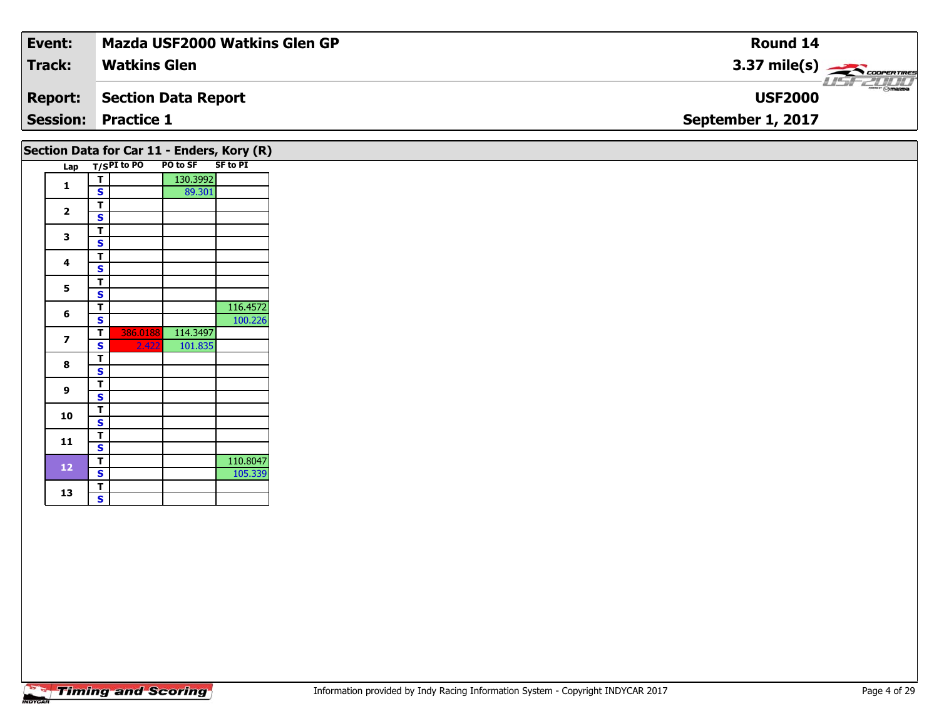| Event:         | Mazda USF2000 Watkins Glen GP              | <b>Round 14</b>                                         |
|----------------|--------------------------------------------|---------------------------------------------------------|
| <b>Track:</b>  | <b>Watkins Glen</b>                        | $3.37 \text{ mile(s)}$<br>$\frac{1}{\sqrt{1-\epsilon}}$ |
| <b>Report:</b> | Section Data Report                        | <b>USF2000</b>                                          |
|                | <b>Session: Practice 1</b>                 | September 1, 2017                                       |
|                | Section Data for Car 11 - Enders, Kory (R) |                                                         |

|  | יככנוטוו                 | <b>Data IVI</b> | Cal TT      |                   | $\mathbf{r}$ |
|--|--------------------------|-----------------|-------------|-------------------|--------------|
|  | Lap                      |                 | T/SPI to PO | PO to SF SF to PI |              |
|  | 1                        | т               |             | 130.3992          |              |
|  |                          | S               |             | 89.301            |              |
|  | $\overline{\mathbf{2}}$  | т               |             |                   |              |
|  |                          | S               |             |                   |              |
|  | 3                        | T               |             |                   |              |
|  |                          | S               |             |                   |              |
|  | 4                        | т               |             |                   |              |
|  |                          | Ś               |             |                   |              |
|  | 5                        | т               |             |                   |              |
|  |                          | S               |             |                   |              |
|  | 6                        | т               |             |                   | 116.4572     |
|  |                          | S               |             |                   | 100.226      |
|  | $\overline{\phantom{a}}$ | т               | 386.0188    | 114.3497          |              |
|  |                          | S               | 2.422       | 101.835           |              |
|  | 8                        | т               |             |                   |              |
|  |                          | S               |             |                   |              |
|  | 9                        | т               |             |                   |              |
|  |                          | S               |             |                   |              |
|  | 10                       | т               |             |                   |              |
|  |                          | S               |             |                   |              |
|  | 11<br>12                 | т               |             |                   |              |
|  |                          | S               |             |                   |              |
|  |                          | т               |             |                   | 110.8047     |
|  |                          | S               |             |                   | 105.339      |
|  | 13                       | т               |             |                   |              |
|  |                          | S               |             |                   |              |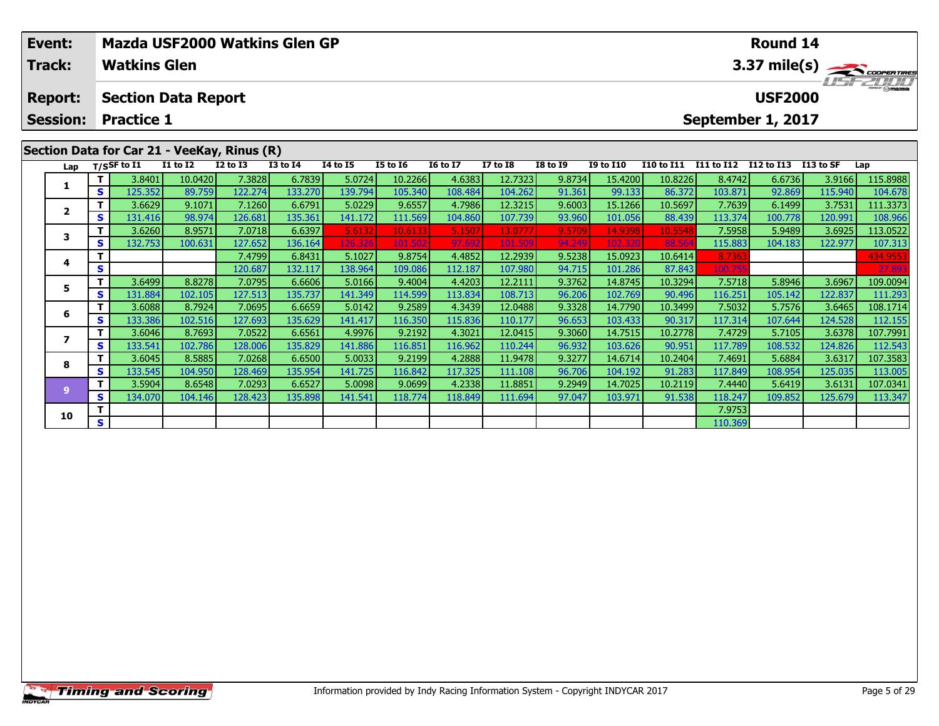| Event:          |    |                     |                            | Mazda USF2000 Watkins Glen GP               |                 |                 |          |                 |              |                 |                   |                                       |            | <b>Round 14</b> |            |          |  |  |
|-----------------|----|---------------------|----------------------------|---------------------------------------------|-----------------|-----------------|----------|-----------------|--------------|-----------------|-------------------|---------------------------------------|------------|-----------------|------------|----------|--|--|
| Track:          |    | <b>Watkins Glen</b> |                            |                                             |                 |                 |          |                 |              |                 |                   | 3.37 mile(s) $\leftarrow$<br>USF 2000 |            |                 |            |          |  |  |
| <b>Report:</b>  |    |                     | <b>Section Data Report</b> |                                             |                 |                 |          |                 |              |                 |                   |                                       |            | <b>USF2000</b>  |            |          |  |  |
| <b>Session:</b> |    | <b>Practice 1</b>   |                            |                                             |                 |                 |          |                 |              |                 | September 1, 2017 |                                       |            |                 |            |          |  |  |
|                 |    |                     |                            |                                             |                 |                 |          |                 |              |                 |                   |                                       |            |                 |            |          |  |  |
|                 |    |                     |                            | Section Data for Car 21 - VeeKay, Rinus (R) |                 |                 |          |                 |              |                 |                   |                                       |            |                 |            |          |  |  |
| Lap             |    | $T/S$ SF to I1      | <b>I1 to I2</b>            | $I2$ to $I3$                                | <b>I3 to I4</b> | <b>I4 to I5</b> | I5 to 16 | <b>16 to 17</b> | $I7$ to $I8$ | <b>I8 to I9</b> | <b>I9 to I10</b>  | I10 to I11                            | I11 to I12 | I12 to I13      | I 13 to SF | Lap      |  |  |
|                 |    | 3.8401              | 10.0420                    | 7.3828                                      | 6.7839          | 5.0724          | 10.2266  | 4.6383          | 12.7323      | 9.8734          | 15.4200           | 10.8226                               | 8.4742     | 6.6736          | 3.9166     | 115.8988 |  |  |
| л.              | S. | 125.352             | 89.759                     | 122.274                                     | 133.270         | 139.794         | 105.340  | 108.484         | 104.262      | 91.361          | 99.133            | 86.372                                | 103.871    | 92.869          | 115.940    | 104.678  |  |  |
| $\overline{2}$  |    | 3.6629              | 9.1071                     | 7.1260                                      | 6.6791          | 5.0229          | 9.6557   | 4.7986          | 12.3215      | 9.6003          | 15.1266           | 10.5697                               | 7.7639     | 6.1499          | 3.7531     | 111.3373 |  |  |
|                 | S. | 131.416             | 98.974                     | 126.681                                     | 135.361         | 141.172         | 111.569  | 104.860         | 107.739      | 93.960          | 101.056           | 88.439                                | 113.374    | 100.778         | 120.991    | 108.966  |  |  |
|                 |    | 3.6260              | 8.9571                     | 7.0718                                      | 6.6397          | 5.6132          | 10.6133  | 5.1507          | 13.0777      | 9.5709          | 14.9398           | 10.5548                               | 7.5958     | 5.9489          | 3.6925     | 113.0522 |  |  |
|                 | S. | 132.753             | 100.631                    | 127.652                                     | 136.164         | 126.326         | 101.502  | 97.692          | 101.509      | 94.249          | 102.320           | 88.564                                | 115.883    | 104.183         | 122.977    | 107.313  |  |  |

**<sup>T</sup>** 7.4799 6.8431 5.1027 9.8754 4.4852 12.2939 9.5238 15.0923 10.6414 8.7363 434.9553 **<sup>S</sup>** 120.687 132.117 138.964 109.086 112.187 107.980 94.715 101.286 87.843 100.755 27.893

5 | T | 3.6499| 8.8278| 7.0795| 6.6606| 5.0166| 9.4004| 4.4203| 12.2111| 9.3762| 14.8745| 10.3294| 7.5718| 5.8946| 3.6967| 109.0094<br>| S | 131.884| 102.105| 127.513| 135.737| 141.349| 114.599| 113.834| 108.713| 96.206| 102.

6 | T | 3.6088| 8.7924| 7.0695| 6.6659| 5.0142| 9.2589| 4.3439| 12.0488| 9.3328| 14.7790| 10.3499| 7.5032| 5.7576| 3.6465| 108.1714<br>| S | 133.386| 102.516| 127.693| 135.629| 141.417| 116.350| 115.836| 110.177| 96.653| 103.

7 | T | 3.6046| 8.7693| 7.0522| 6.6561| 4.9976| 9.2192| 4.3021| 12.0415| 9.3060| 14.7515| 10.2778| 7.4729| 5.7105| 3.6378| 107.7991<br>7 | S | 133.541 102.786 128.006 135.829 141.886 116.851 116.962 110.244 96.932 103.626 90.

8 T | 3.6045 |8.5885 7.0268 6.6500 5.0033 9.2199 4.2888 11.9478 9.3277 14.6714 10.2404 7.4691 5.6884 3.6317 107.3583<br>S S 133.545 104.950 128.469 135.954 141.725 116.842 117.325 111.108 96.706 104.192 91.283 117.849 108.954

11.8851 14.7025 10.2119 7.4440 5.6419 3.6131 107.0341 11.8934 11.8851 11.8851 11.8851 9.2949 14.7025 10.2119 7<br>S 134.070 104.146 128.423 135.898 141.541 118.774 118.849 111.694 97.047 103.971 91.538 118.247 109.852 125.67

**O S** 1 110.369

# **Timing and Scoring**

**4**

**5**

**6**

**7**

**8**

**9**

**10**

112.543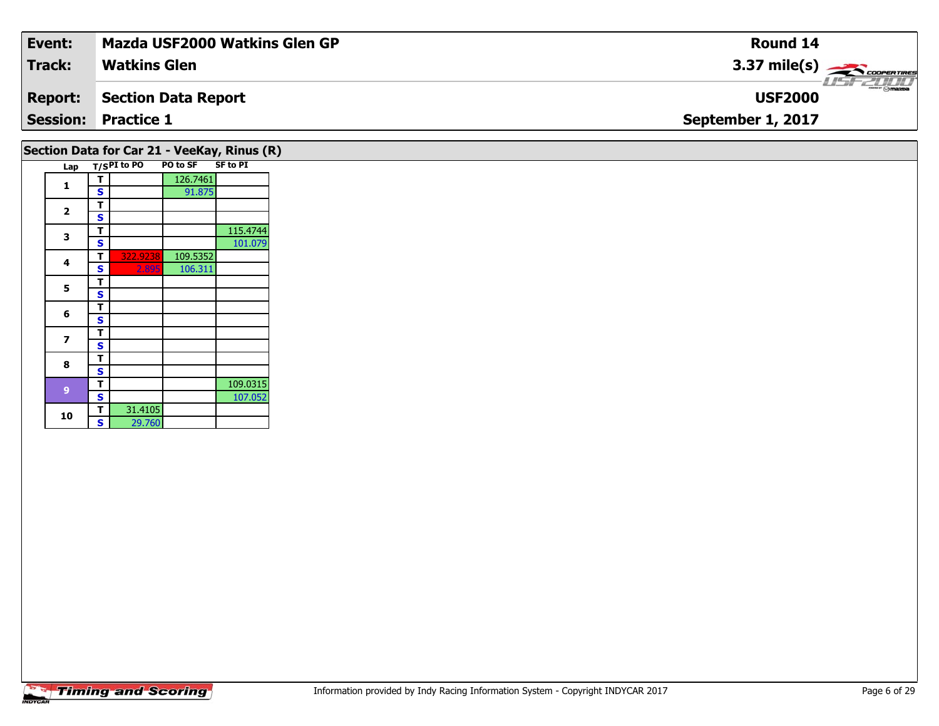| Event:         | <b>Mazda USF2000 Watkins Glen GP</b> | Round 14               |
|----------------|--------------------------------------|------------------------|
| <b>Track:</b>  | <b>Watkins Glen</b>                  | $3.37 \text{ mile(s)}$ |
| <b>Report:</b> | Section Data Report                  | <b>USF2000</b>         |
|                | <b>Session: Practice 1</b>           | September 1, 2017      |
|                |                                      |                        |

# **Section Data for Car 21 - VeeKay, Rinus (R)**

| Lap |   | T/SPI to PO | <b>PO to SF</b> | <b>SF to PI</b> |
|-----|---|-------------|-----------------|-----------------|
|     | т |             | 126.7461        |                 |
| 1   | S |             | 91.875          |                 |
|     | т |             |                 |                 |
| 2   | S |             |                 |                 |
| 3   | т |             |                 | 115.4744        |
|     | S |             |                 | 101.079         |
| 4   | т | 322.9238    | 109.5352        |                 |
|     | S | 2.895       | 106.311         |                 |
| 5   | т |             |                 |                 |
|     | S |             |                 |                 |
| 6   | т |             |                 |                 |
|     | S |             |                 |                 |
| 7   | т |             |                 |                 |
|     | S |             |                 |                 |
| 8   | т |             |                 |                 |
|     | S |             |                 |                 |
| 9   | т |             |                 | 109.0315        |
|     | S |             |                 | 107.052         |
| 10  | т | 31.4105     |                 |                 |
|     | S | 29.760      |                 |                 |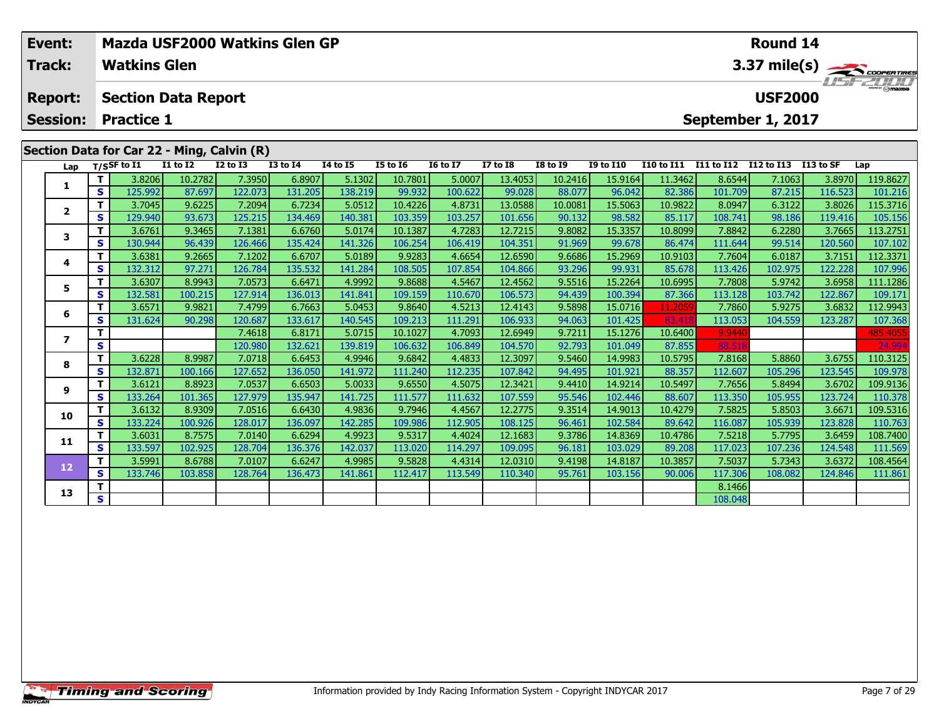| Event:          |          |                     | Mazda USF2000 Watkins Glen GP              |                  |                 |                 | Round 14        |                 |                 |                 |                  |                   |                   |                   |           |               |  |  |
|-----------------|----------|---------------------|--------------------------------------------|------------------|-----------------|-----------------|-----------------|-----------------|-----------------|-----------------|------------------|-------------------|-------------------|-------------------|-----------|---------------|--|--|
| <b>Track:</b>   |          | <b>Watkins Glen</b> |                                            |                  |                 |                 |                 |                 |                 |                 |                  |                   |                   |                   |           | 3.37 mile(s)  |  |  |
| <b>Report:</b>  |          |                     | <b>Section Data Report</b>                 |                  |                 |                 |                 |                 |                 |                 |                  |                   |                   | <b>USF2000</b>    |           | <b>SECULT</b> |  |  |
| <b>Session:</b> |          | <b>Practice 1</b>   |                                            |                  |                 |                 |                 |                 |                 |                 |                  |                   |                   | September 1, 2017 |           |               |  |  |
|                 |          |                     | Section Data for Car 22 - Ming, Calvin (R) |                  |                 |                 |                 |                 |                 |                 |                  |                   |                   |                   |           |               |  |  |
| Lap             |          | $T/S$ SF to $I1$    | $I1$ to $I2$                               | <b>I2 to I3</b>  | <b>I3 to I4</b> | <b>I4 to I5</b> | <b>I5 to 16</b> | <b>16 to 17</b> | <b>I7 to I8</b> | <b>I8 to I9</b> | <b>I9 to I10</b> | <b>I10 to I11</b> | <b>I11 to I12</b> | <b>I12 to I13</b> | I13 to SF | Lap           |  |  |
|                 |          | 3.8206              | 10.2782                                    | 7.3950           | 6.8907          | 5.1302          | 10.7801         | 5.0007          | 13.4053         | 10.2416         | 15.9164          | 11.3462           | 8.6544            | 7.1063            | 3.8970    | 119.8627      |  |  |
|                 | S I      | 125.992             | 87.697                                     | 122.073          | 131.205         | 138.219         | 99.932          | 100.622         | 99.028          | 88.077          | 96.042           | 82.386            | 101.709           | 87.215            | 116.523   | 101.216       |  |  |
| $\overline{2}$  |          | 3.7045              | 9.6225                                     | 7.2094           | 6.7234          | 5.0512          | 10.4226         | 4.8731          | 13.0588         | 10.0081         | 15.5063          | 10.9822           | 8.0947            | 6.3122            | 3.8026    | 115.3716      |  |  |
|                 | S.       | 129.940             | 93.673                                     | 125.215          | 134.469         | 140.381         | 103.359         | 103.257         | 101.656         | 90.132          | 98.582           | 85.117            | 108.741           | 98.186            | 119.416   | 105.156       |  |  |
| 3               |          | 3.6761              | 9.3465                                     | 7.1381           | 6.6760          | 5.0174          | 10.1387         | 4.7283          | 12.7215         | 9.8082          | 15.3357          | 10.8099           | 7.8842            | 6.2280            | 3.7665    | 113.2751      |  |  |
|                 | <b>S</b> | 130.944             | 96.439                                     | 126.466          | 135.424         | 141.326         | 106.254         | 106.419         | 104.351         | 91.969          | 99.678           | 86.474            | 111.644           | 99.514            | 120.560   | 107.102       |  |  |
|                 |          | 3.6381              | 9.2665                                     | 7.1202           | 6.6707          | 5.0189          | 9.9283          | 4.6654          | 12.6590         | 9.6686          | 15.2969          | 10.9103           | 7.7604            | 6.0187            | 3.7151    | 112.3371      |  |  |
| 4               | S I      | 132.312             | 97.271                                     | 126.784          | 135.532         | 141.284         | 108.505         | 107.854         | 104.866         | 93.296          | 99.931           | 85.678            | 113.426           | 102.975           | 122.228   | 107.996       |  |  |
| 5               |          | 3.6307              | 8.9943                                     | 7.0573           | 6.6471          | 4.9992          | 9.8688          | 4.5467          | 12.4562         | 9.5516          | 15.2264          | 10.6995           | 7.7808            | 5.9742            | 3.6958    | 111.1286      |  |  |
|                 | s.       | 132.581             | 100.215                                    | 127.914 <b>1</b> | 136.013         | 141.841         | 109.159         | 110.670         | 106.573         | 94.439          | 100.394          | 87.366            | 113.128           | 103.742           | 122.8671  | 109.171       |  |  |

**<sup>T</sup>** 3.6571 9.9821 7.4799 6.7663 5.0453 9.8640 4.5213 12.4143 9.5898 15.0716 11.2059 7.7860 5.9275 3.6832 112.9943 **<sup>S</sup>** 131.624 90.298 120.687 133.617 140.545 109.213 111.291 106.933 94.063 101.425 83.418 113.053 104.559 123.287 107.368

**<sup>T</sup>** 7.4618 6.8171 5.0715 10.1027 4.7093 12.6949 9.7211 15.1276 10.6400 9.9440 485.4055 **<sup>S</sup>** 120.980 132.621 139.819 106.632 106.849 104.570 92.793 101.049 87.855 88.518 24.994

8 T | 3.6228 8.9987 7.0718 6.6453 4.9946 9.6842 4.4833 12.3097 9.5460 14.9983 10.5795 7.8168 5.8860 3.6755 110.3125<br>8 S 132.871 100.166 127.652 136.050 141.972 111.240 112.235 107.842 94.495 101.921 88.357 112.607 105.296

109.9136 | 1 | 3.6121 | 8.8923 | 7.0537 | 6.6503 | 5.0033 | 9.6550 | 4.5075 | 12.3421 | 9.4410 | 14.9214 | 10.5497 | 7.7656 | 5.8494 | 3.6702 | 109.9136 | 9 | 5 | 9.9136 | 9 | 5 | 9.913<br>S | 133.264 | 101.365 | 127.979 | 1

0 | T | 3.6132 | 8.9309 | 7.0516 | 6.6430 | 4.9836 | 9.7946 | 4.4567 |12.2775 | 9.3514 | 14.9013 | 10.4279 | 7.5825 | 5.8503 | 3.6671 |109.5316<br>| S | 133.224 | 100.926 | 128.017 | 136.097 | 142.285 | 109.986 | 112.905 | 10

**<sup>T</sup>** 3.6031 8.7575 7.0140 6.6294 4.9923 9.5317 4.4024 12.1683 9.3786 14.8369 10.4786 7.5218 5.7795 3.6459 108.7400 **<sup>S</sup>** 133.597 102.925 128.704 136.376 142.037 113.020 114.297 109.095 96.181 103.029 89.208 117.023 107.236 124.548 111.569

2 T 3.5991 8.6788 7.0107 6.6247 4.9985 9.5828 4.4314 12.0310 9.4198 14.8187 10.3857 7.5037 5.7343 3.6372 108.4564<br>2 S 133.746 103.858 128.764 136.473 141.861 112.417 113.549 110.340 95.761 103.156 90.006 117.306 108.082 12

**T** 8.1466 **S** 108.048

**6**

**7**

**8**

**9**

**10**

**11**

**12**

**13**

110.378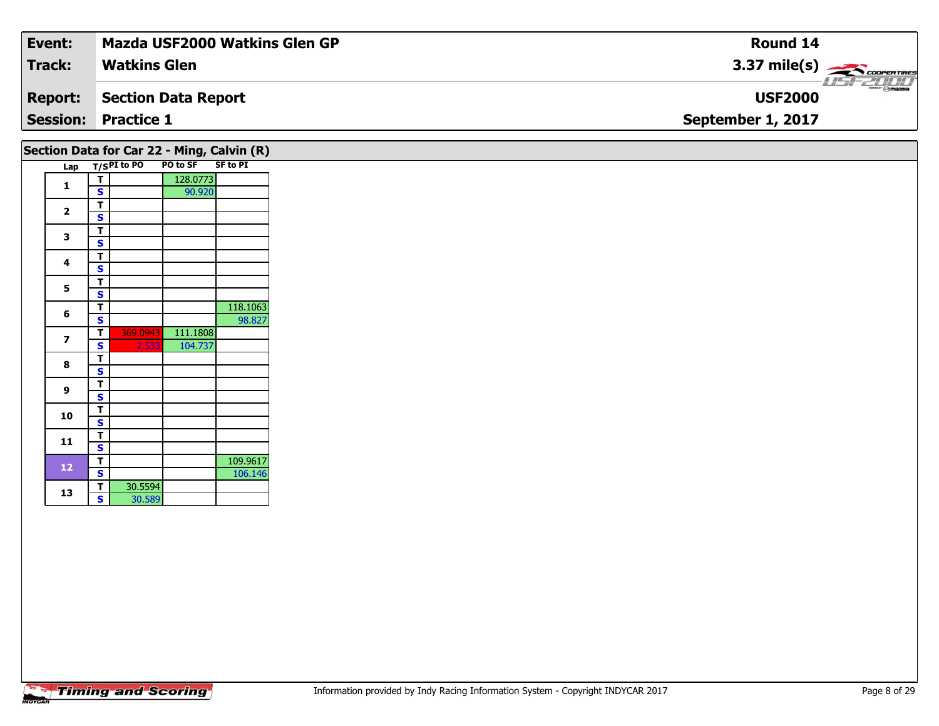| Event:         | <b>Mazda USF2000 Watkins Glen GP</b> | Round 14                    |
|----------------|--------------------------------------|-----------------------------|
| Track:         | <b>Watkins Glen</b>                  | $3.37 \text{ mile(s)}$      |
| <b>Report:</b> | Section Data Report                  | LISFELINI<br><b>USF2000</b> |
|                | <b>Session: Practice 1</b>           | September 1, 2017           |
|                |                                      |                             |

## Lap T/S<sup>PI</sup> to PO PO to SF SF to PI **1T** 128.0773<br>**S** 90.920 2  $\frac{1}{s}$  $rac{s}{T}$ 3  $\frac{1}{s}$  $rac{s}{T}$ 4  $\frac{1}{s}$  $\overline{\mathbf{s}}$ 5  $\frac{1}{s}$  $rac{s}{t}$ **66 T** 118.1063<br> **S** 98.827 **7 <sup>T</sup>** 369.0943 111.1808 **<sup>S</sup>** 2.533 104.737 8  $\frac{1}{s}$  $rac{s}{T}$ **9**9 <mark>「S</mark> **10** $\frac{1}{s}$  $\overline{\mathsf{T}}$ 11  $\frac{1}{\mathsf{S}}$ **12T** 109.9617<br>**S** 106.146 **a**  $\begin{array}{|c|c|c|}\n\hline\n\textbf{S} & \textbf{30.5594} \\
\hline\n\textbf{S} & \textbf{30.589}\n\hline\n\end{array}$ **Section Data for Car 22 - Ming, Calvin (R)**

**13**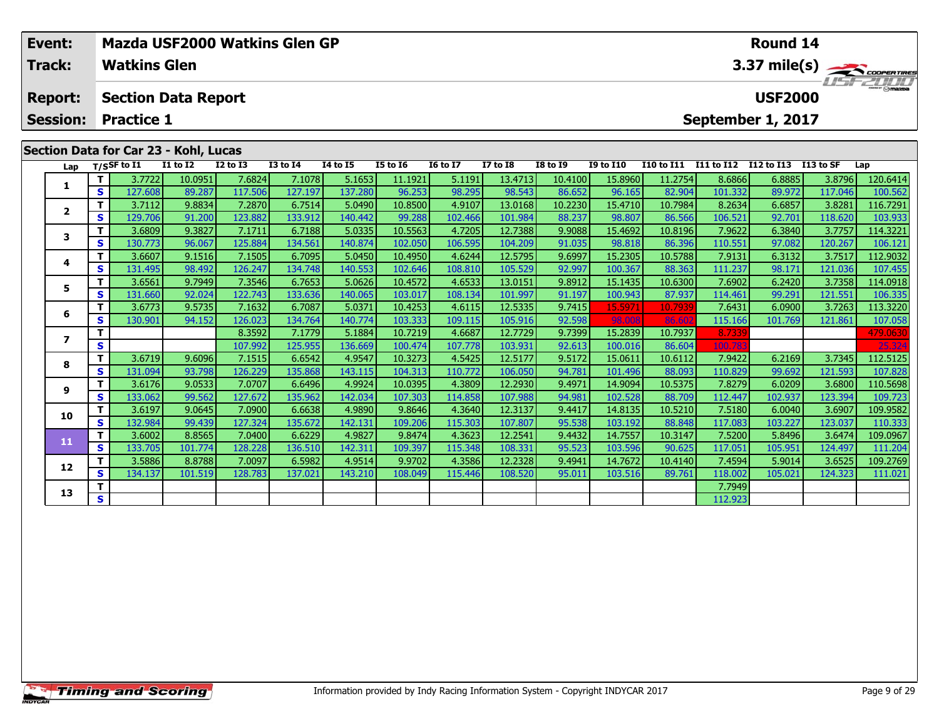| Event:          |    |                     |                                       |                 | Mazda USF2000 Watkins Glen GP |                 |          |                 |                 | <b>Round 14</b> |                  |            |            |                   |            |                                |  |
|-----------------|----|---------------------|---------------------------------------|-----------------|-------------------------------|-----------------|----------|-----------------|-----------------|-----------------|------------------|------------|------------|-------------------|------------|--------------------------------|--|
| Track:          |    | <b>Watkins Glen</b> |                                       |                 |                               |                 |          |                 |                 |                 |                  |            |            |                   |            | 3.37 mile(s)<br><b>HSFZHIT</b> |  |
| <b>Report:</b>  |    |                     | <b>Section Data Report</b>            |                 |                               |                 |          |                 |                 |                 |                  |            |            | <b>USF2000</b>    |            |                                |  |
| <b>Session:</b> |    | <b>Practice 1</b>   |                                       |                 |                               |                 |          |                 |                 |                 |                  |            |            | September 1, 2017 |            |                                |  |
|                 |    |                     |                                       |                 |                               |                 |          |                 |                 |                 |                  |            |            |                   |            |                                |  |
|                 |    |                     | Section Data for Car 23 - Kohl, Lucas |                 |                               |                 |          |                 |                 |                 |                  |            |            |                   |            |                                |  |
|                 |    | Lap $T/SSF$ to I1   | <b>I1 to I2</b>                       | <b>I2 to I3</b> | <b>I3 to I4</b>               | <b>I4 to I5</b> | I5 to 16 | <b>16 to 17</b> | <b>I7 to I8</b> | <b>I8 to I9</b> | <b>I9 to I10</b> | I10 to I11 | I11 to I12 | I12 to I13        | I 13 to SF | Lap                            |  |
|                 |    | 3.7722              | 10.0951                               | 7.6824          | 7.1078                        | 5.1653          | 11.1921  | 5.1191          | 13.4713         | 10.4100         | 15.8960          | 11.2754    | 8.6866     | 6.8885            | 3.8796     | 120.6414                       |  |
| 1               | S  | 127.608             | 89.287                                | 117.506         | 127.197                       | 137.280         | 96.253   | 98.295          | 98.543          | 86.652          | 96.165           | 82.904     | 101.332    | 89.972            | 117.046    | 100.562                        |  |
|                 |    | 3.7112              | 9.8834                                | 7.2870          | 6.7514                        | 5.0490          | 10.8500  | 4.9107          | 13.0168         | 10.2230         | 15.4710          | 10.7984    | 8.2634     | 6.6857            | 3.8281     | 116.7291                       |  |
| $\mathbf{2}$    | S  | 129.706             | 91.200                                | 123.882         | 133.912                       | 140.442         | 99.288   | 102.466         | 101.984         | 88.237          | 98.807           | 86.566     | 106.521    | 92.701            | 118.620    | 103.933                        |  |
| 3               |    | 3.6809              | 9.3827                                | 7.1711          | 6.7188                        | 5.0335          | 10.5563  | 4.7205          | 12.7388         | 9.9088          | 15.4692          | 10.8196    | 7.9622     | 6.3840            | 3.7757     | 114.3221                       |  |
|                 | S. | 130.773             | 96.067                                | 125.884         | 134.561                       | 140.874         | 102.050  | 106.595         | 104.209         | 91.035          | 98.818           | 86.396     | 110.551    | 97.082            | 120.267    | 106.121                        |  |

**<sup>T</sup>** 3.6607 9.1516 7.1505 6.7095 5.0450 10.4950 4.6244 12.5795 9.6997 15.2305 10.5788 7.9131 6.3132 3.7517 112.9032 **<sup>S</sup>** 131.495 98.492 126.247 134.748 140.553 102.646 108.810 105.529 92.997 100.367 88.363 111.237 98.171 121.036 107.455

**<sup>T</sup>** 3.6561 9.7949 7.3546 6.7653 5.0626 10.4572 4.6533 13.0151 9.8912 15.1435 10.6300 7.6902 6.2420 3.7358 114.0918 **<sup>S</sup>** 131.660 92.024 122.743 133.636 140.065 103.017 108.134 101.997 91.197 100.943 87.937 114.461 99.291 121.551 106.335

6 | T | 3.6773| 9.5735| 7.1632| 6.7087| 5.0371| 10.4253| 4.6115| 12.5335| 9.7415 15.5971| 10.7939| 7.6431| 6.0900| 3.7263| 113.3220<br>| S | 130.901| 94.152| 126.023| 134.764| 140.774| 103.333| 109.115| 105.916| 92.598 98.008

**<sup>T</sup>** 8.3592 7.1779 5.1884 10.7219 4.6687 12.7729 9.7399 15.2839 10.7937 8.7339 479.0630 **<sup>S</sup>** 107.992 125.955 136.669 100.474 107.778 103.931 92.613 100.016 86.604 100.783 25.324

8 T 3.6719 9.6096 7.1515 6.6542 4.9547 10.3273 4.5425 12.5177 9.5172 15.0611 10.6112 7.9422 6.2169 3.7345 112.5125<br>8 S 131.094 93.798 126.229 135.868 143.115 104.313 110.772 106.050 94.781 101.496 88.093 110.829 99.692 121

11.5698 12.6209 12.6176 12.6209 12.6209 12.7930 12.2930 12.2930 14.3809 12.2930 14.9094 10.5375 12.8279 12.620<br>S 133.062 99.562 127.672 135.962 142.034 107.303 114.858 107.988 94.981 102.528 88.709 112.447 102.937 123.394

0 | T | 3.6197| 9.0645| 7.0900| 6.6638| 4.9890| 9.8646| 4.3640| 12.3137| 9.4417| 14.8135| 10.5210| 7.5180| 6.0040| 3.6907| 109.9582<br>| S | 132.984| 99.439| 127.324| 135.672| 142.131| 109.206| 115.303| 107.807| 95.538| 103.1

**<sup>T</sup>** 3.6002 8.8565 7.0400 6.6229 4.9827 9.8474 4.3623 12.2541 9.4432 14.7557 10.3147 7.5200 5.8496 3.6474 109.0967 **<sup>S</sup>** 133.705 101.774 128.228 136.510 142.311 109.397 115.348 108.331 95.523 103.596 90.625 117.051 105.951 124.497 111.204

**<sup>T</sup>** 3.5886 8.8788 7.0097 6.5982 4.9514 9.9702 4.3586 12.2328 9.4941 14.7672 10.4140 7.4594 5.9014 3.6525 109.2769 **<sup>S</sup>** 134.137 101.519 128.783 137.021 143.210 108.049 115.446 108.520 95.011 103.516 89.761 118.002 105.021 124.323 111.021

**T** 7.7949

## **Timing and Scoring**

**4**

**5**

**6**

**7**

**8**

**9**

**10**

**11**

**12**

**13**

107.45

109.723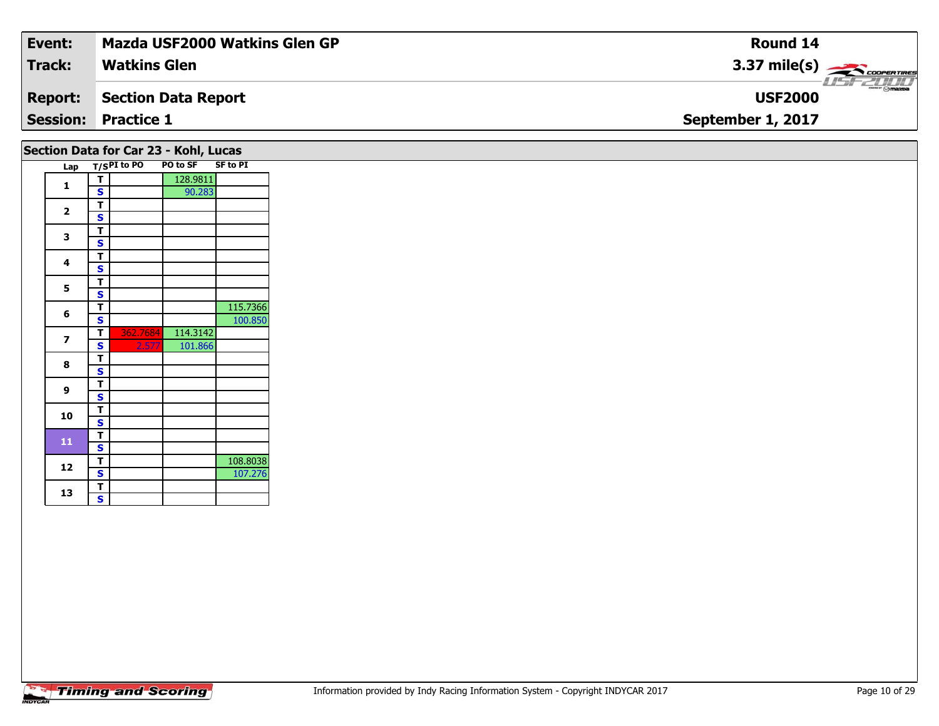| Event:                                | Mazda USF2000 Watkins Glen GP | <b>Round 14</b>                    |  |  |  |  |  |  |  |  |
|---------------------------------------|-------------------------------|------------------------------------|--|--|--|--|--|--|--|--|
| <b>Track:</b>                         | <b>Watkins Glen</b>           | $3.37 \text{ mile(s)}$             |  |  |  |  |  |  |  |  |
| <b>Report:</b>                        | Section Data Report           | <b>LISE CLIP</b><br><b>USF2000</b> |  |  |  |  |  |  |  |  |
|                                       | <b>Session: Practice 1</b>    | September 1, 2017                  |  |  |  |  |  |  |  |  |
| Section Data for Car 23 - Kohl, Lucas |                               |                                    |  |  |  |  |  |  |  |  |

| Lap                     |                         |          | T/SPI to PO PO to SF | <b>SF to PI</b> |
|-------------------------|-------------------------|----------|----------------------|-----------------|
|                         | T                       |          | 128.9811             |                 |
| 1                       | S                       |          | 90.283               |                 |
|                         | T                       |          |                      |                 |
| $\overline{\mathbf{2}}$ | S                       |          |                      |                 |
|                         | T                       |          |                      |                 |
| 3                       | S                       |          |                      |                 |
|                         | т                       |          |                      |                 |
| 4                       | S                       |          |                      |                 |
| 5                       | T                       |          |                      |                 |
|                         | S                       |          |                      |                 |
|                         | т                       |          |                      | 115.7366        |
| 6                       | S                       |          |                      | 100.850         |
|                         | Т                       | 362.7684 | 114.3142             |                 |
| 7                       | S                       | 2.577    | 101.866              |                 |
| 8                       | T                       |          |                      |                 |
|                         | S                       |          |                      |                 |
| 9                       | т                       |          |                      |                 |
|                         | S                       |          |                      |                 |
| 10                      | T                       |          |                      |                 |
|                         | S                       |          |                      |                 |
| 11                      | T                       |          |                      |                 |
|                         | S                       |          |                      |                 |
| 12                      | Т                       |          |                      | 108.8038        |
|                         | S                       |          |                      | 107.276         |
| 13                      | T                       |          |                      |                 |
|                         | $\overline{\mathbf{s}}$ |          |                      |                 |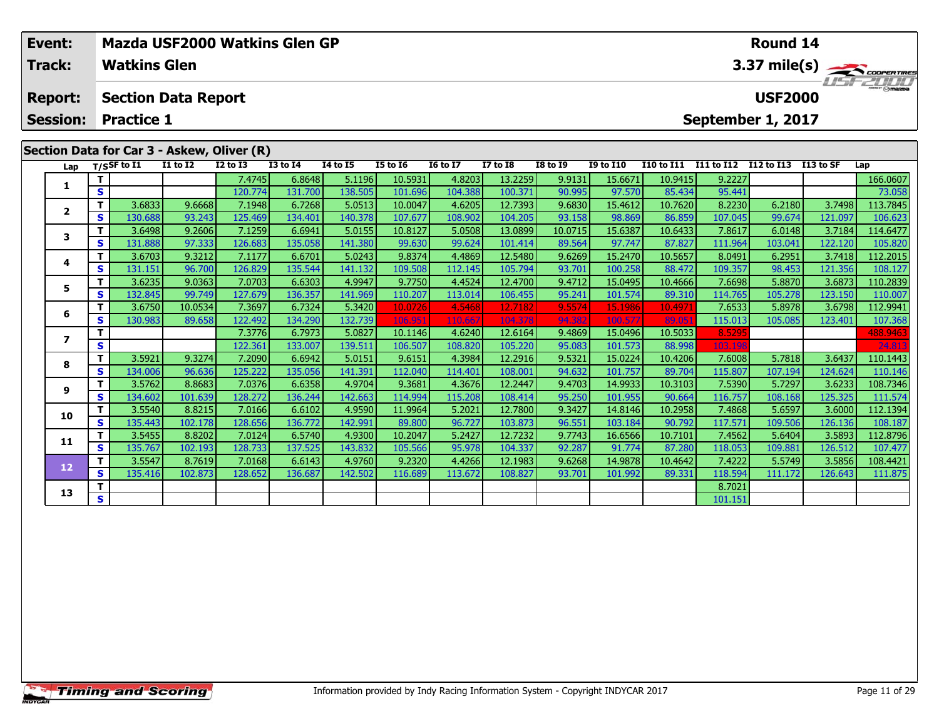| Event:                               |     |                     |                            | Mazda USF2000 Watkins Glen GP              |                 |          |                 |                 |          | Round 14        |                  |              |            |                |            |                  |  |  |  |
|--------------------------------------|-----|---------------------|----------------------------|--------------------------------------------|-----------------|----------|-----------------|-----------------|----------|-----------------|------------------|--------------|------------|----------------|------------|------------------|--|--|--|
| <b>Track:</b>                        |     | <b>Watkins Glen</b> |                            |                                            |                 |          |                 |                 |          |                 |                  | 3.37 mile(s) |            |                |            |                  |  |  |  |
| <b>Report:</b>                       |     | <b>Practice 1</b>   | <b>Section Data Report</b> |                                            |                 |          |                 |                 |          |                 |                  |              |            | <b>USF2000</b> |            | <b>LIST ZOOD</b> |  |  |  |
| <b>Session:</b><br>September 1, 2017 |     |                     |                            |                                            |                 |          |                 |                 |          |                 |                  |              |            |                |            |                  |  |  |  |
|                                      |     |                     |                            | Section Data for Car 3 - Askew, Oliver (R) |                 |          |                 |                 |          |                 |                  |              |            |                |            |                  |  |  |  |
|                                      |     | Lap T/SSF to I1     | <b>I1 to I2</b>            | $I2$ to $I3$                               | <b>I3 to I4</b> | 14 to 15 | <b>I5 to I6</b> | <b>16 to 17</b> | I7 to I8 | <b>I8 to I9</b> | <b>I9 to I10</b> | I10 to I11   | I11 to I12 | I12 to I13     | I 13 to SF | Lap              |  |  |  |
|                                      |     |                     |                            | 7.4745                                     | 6.8648          | 5.1196   | 10.5931         | 4.8203          | 13.2259  | 9.9131          | 15.6671          | 10.9415      | 9.2227     |                |            | 166.0607         |  |  |  |
|                                      | S.  |                     |                            | 120.774                                    | 131.700         | 138.505  | 101.696         | 104.388         | 100.371  | 90.995          | 97.570           | 85.434       | 95.441     |                |            | 73.058           |  |  |  |
| $\overline{2}$                       |     | 3.6833              | 9.6668                     | 7.1948                                     | 6.7268          | 5.0513   | 10.0047         | 4.6205          | 12.7393  | 9.6830          | 15.4612          | 10.7620      | 8.2230     | 6.2180         | 3.7498     | 113.7845         |  |  |  |
|                                      | s l | 130.688             | 93.243                     | 125.469                                    | 134.401         | 140.378  | 107.677         | 108.902         | 104.205  | 93.158          | 98.869           | 86.859       | 107.045    | 99.674         | 121.097    | 106.623          |  |  |  |
| 3                                    |     | 3.6498              | 9.2606                     | 7.1259                                     | 6.6941          | 5.0155   | 10.8127         | 5.0508          | 13.0899  | 10.0715         | 15.6387          | 10.6433      | 7.8617     | 6.0148         | 3.7184     | 114.6477         |  |  |  |
|                                      | s l | 131.888             | 97.333                     | 126.683                                    | 135.058         | 141.380  | 99.630          | 99.624          | 101.414  | 89.564          | 97.747           | 87.827       | 111.964    | 103.041        | 122.120    | 105.820          |  |  |  |
|                                      | тI  | 3.67031             | 93212                      | 7 1 1 7 7 1                                | 6.6701          | 5.02431  | 98374           | 44869           | 125480   | 96269           | 15 2470          | 10.5657      | 8 0491     | 6.2951         | 37418      | 1122015          |  |  |  |

### **4 <sup>T</sup>** 3.6703 9.3212 7.1177 6.6701 5.0243 9.8374 4.4869 12.5480 9.6269 15.2470 10.5657 8.0491 6.2951 3.7418 112.2015 **<sup>S</sup>** 131.151 96.700 126.829 135.544 141.132 109.508 112.145 105.794 93.701 100.258 88.472 109.357 98.453 121.356 108.127108.127 **5 <sup>T</sup>** 3.6235 9.0363 7.0703 6.6303 4.9947 9.7750 4.4524 12.4700 9.4712 15.0495 10.4666 7.6698 5.8870 3.6873 110.2839 **<sup>S</sup>** 132.845 99.749 127.679 136.357 141.969 110.207 113.014 106.455 95.241 101.574 89.310 114.765 105.278 123.150 110.007**6**6 | T | 3.6750| 10.0534| 7.3697| 6.7324| 5.3420| 10.0726| 4.5468| 12.7182| 9.5574| 15.1986| 10.4971| 7.6533| 5.8978| 3.6798| 112.9941<br>| S | 130.983| 89.658| 122.492| 134.290| 132.739| 106.951| 110.667| 104.378| 94.382| 100 **7T 7** 7 7 7 7 8 7 7 8 7 8 7 8 8 8 9 10.1146 1.240 12.6164 12.6164 15.0496 10.5033 8.5295 201 108.9463 101.573 1<br>T S 122.361 133.007 139.511 106.507 108.820 105.220 95.083 101.573 88.998 103.198 103.198 103.198 24.813 **8**8 T 3.5921 9.3274 7.2090 6.6942 5.0151 9.6151 4.3984 12.2916 9.5321 15.0224 10.4206 7.6008 5.7818 3.6437 110.1443<br>8 S 314.006 96.636 125.222 135.056 141.391 112.040 114.401 108.001 94.632 101.757 89.704 115.807 107.194 124 **9**108.7346 | 11 | 3.5762 | 8.8683 | 7.0376 | 6.6358 | 4.9704 | 9.3681 | 4.3676 | 12.2447 | 9.4703 | 14.9933 | 10<br>S | 134.602 | 101.639 | 128.272 | 136.244 | 142.663 | 114.994 | 115.208 | 108.414 | 95.250 | 101.955 | 90.664 111.574 **10**0 T 3.5540 8.8215 7.0166 6.6102 4.9590 11.9964 5.2021 12.7800 9.3427 14.8146 10.2958 7.4868 5.6597 3.6000 112.1394<br>S 135.443 102.178 128.656 136.772 142.991 89.800 96.727 103.873 96.551 103.184 90.792 117.571 109.506 126.1 **11 <sup>T</sup>** 3.5455 8.8202 7.0124 6.5740 4.9300 10.2047 5.2427 12.7232 9.7743 16.6566 10.7101 7.4562 5.6404 3.5893 112.8796 **<sup>S</sup>** 135.767 102.193 128.733 137.525 143.832 105.566 95.978 104.337 92.287 91.774 87.280 118.053 109.881 126.512 107.477**12**2 T 3.5547 8.7619 7.0168 6.6143 4.9760 9.2320 4.4266 12.1983 9.6268 14.9878 10.4642 7.4222 5.5749 3.5856 108.4421<br>2 S 135.416 102.873 128.652 136.687 142.502 116.689 113.672 108.827 93.701 101.992 89.331 118.594 111.172 12 111.875 **13T** 8.7021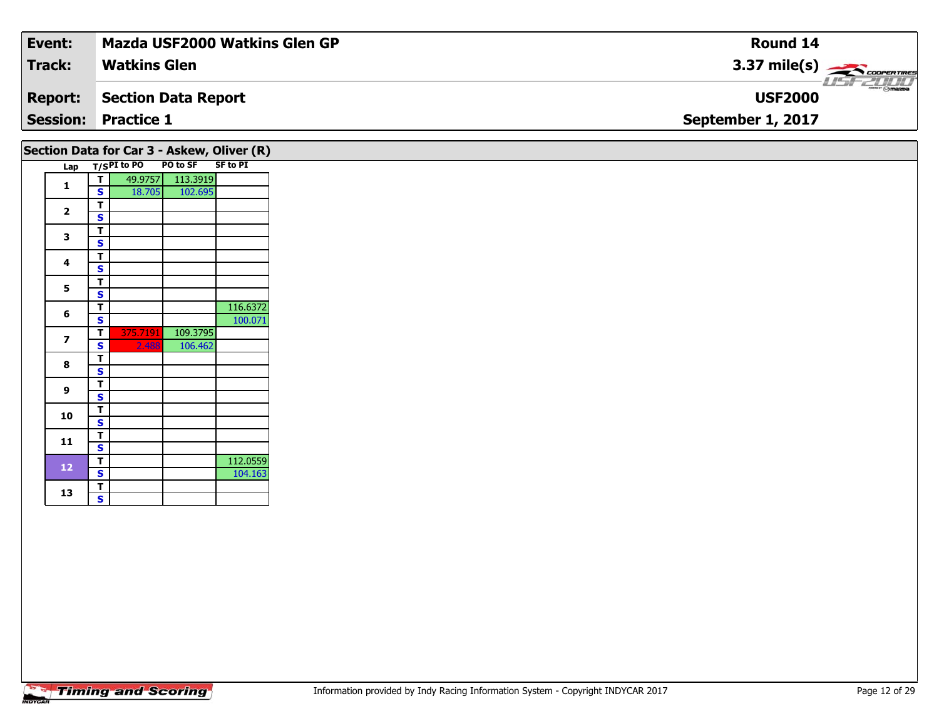| Event:          | <b>Mazda USF2000 Watkins Glen GP</b> | <b>Round 14</b>        |
|-----------------|--------------------------------------|------------------------|
| Track:          | <b>Watkins Glen</b>                  | $3.37 \text{ mile(s)}$ |
| <b>Report:</b>  | Section Data Report                  | <b>USF2000</b>         |
| <b>Session:</b> | <b>Practice 1</b>                    | September 1, 2017      |
|                 |                                      |                        |

|                         |   | Section Data for Car 3 - Askew, Oliver (R) |          |                 |
|-------------------------|---|--------------------------------------------|----------|-----------------|
| Lap                     |   | T/SPI to PO                                | PO to SF | <b>SF to PI</b> |
| 1                       | т | 49.9757                                    | 113.3919 |                 |
|                         | Ś | 18.705                                     | 102.695  |                 |
| $\overline{\mathbf{2}}$ | т |                                            |          |                 |
|                         | S |                                            |          |                 |
| 3                       | T |                                            |          |                 |
|                         | S |                                            |          |                 |
| 4                       | т |                                            |          |                 |
|                         | S |                                            |          |                 |
| 5                       | т |                                            |          |                 |
|                         | Ś |                                            |          |                 |
|                         | т |                                            |          | 116.6372        |
| 6                       | S |                                            |          | 100.071         |
| 7                       | T | 375.7191                                   | 109.3795 |                 |
|                         | S | 2.488                                      | 106.462  |                 |
| 8                       | т |                                            |          |                 |
|                         | S |                                            |          |                 |
| 9                       | т |                                            |          |                 |
|                         | Ś |                                            |          |                 |
| 10                      | т |                                            |          |                 |
|                         | S |                                            |          |                 |
| 11                      | T |                                            |          |                 |
|                         | S |                                            |          |                 |
| 12                      | т |                                            |          | 112.0559        |
|                         | S |                                            |          | 104.163         |
| 13                      | т |                                            |          |                 |
|                         | S |                                            |          |                 |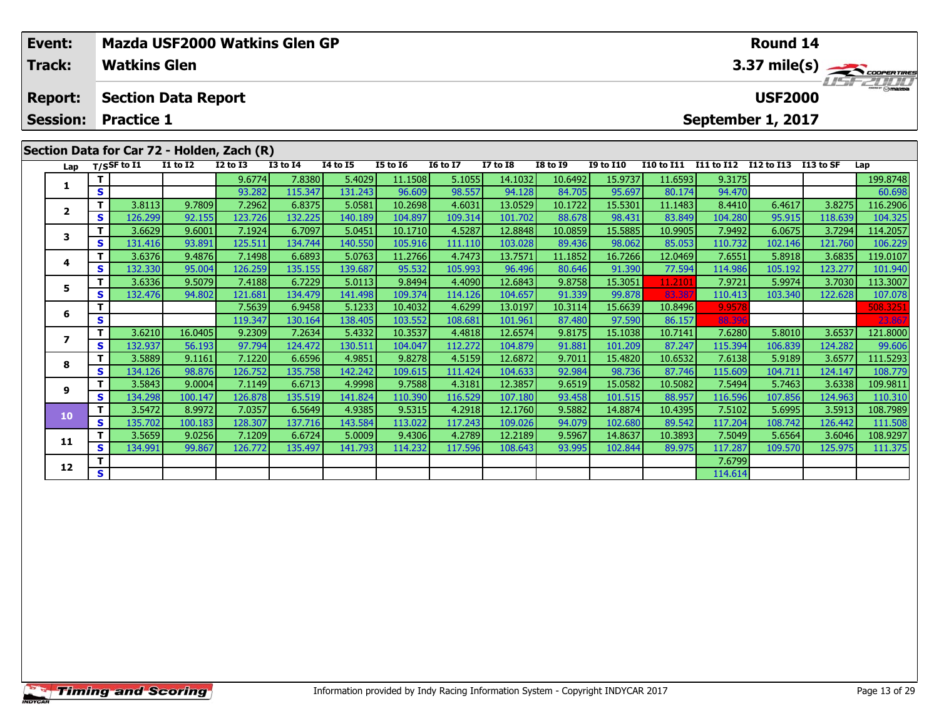|  | Event:<br>Track:                                              |     | Mazda USF2000 Watkins Glen GP<br><b>Watkins Glen</b> |                            |              |              |          |                 |          |                 |                 |                  |                   | Round 14<br>3.37 mile(s) $\rightarrow$ COOPER TIRES |                                     |           |            |  |  |
|--|---------------------------------------------------------------|-----|------------------------------------------------------|----------------------------|--------------|--------------|----------|-----------------|----------|-----------------|-----------------|------------------|-------------------|-----------------------------------------------------|-------------------------------------|-----------|------------|--|--|
|  | <b>Report:</b><br><b>Session:</b>                             |     | <b>Practice 1</b>                                    | <b>Section Data Report</b> |              |              |          |                 |          |                 |                 |                  |                   |                                                     | <b>USF2000</b><br>September 1, 2017 |           | 1157721111 |  |  |
|  | Section Data for Car 72 - Holden, Zach (R)<br>Lap T/SSF to I1 |     |                                                      |                            |              |              |          |                 |          |                 |                 |                  |                   |                                                     |                                     |           |            |  |  |
|  |                                                               |     |                                                      | <b>I1 to I2</b>            | $I2$ to $I3$ | $I3$ to $I4$ | 14 to 15 | <b>I5 to I6</b> | 16 to 17 | <b>I7 to I8</b> | <b>I8 to I9</b> | <b>I9 to I10</b> | <b>I10 to I11</b> | <b>I11 to I12</b>                                   | I12 to I13                          | I13 to SF | Lap        |  |  |
|  | 1                                                             |     |                                                      |                            | 9.6774       | 7.8380       | 5.4029   | 11.1508         | 5.1055   | 14.1032         | 10.6492         | 15.9737          | 11.6593           | 9.3175                                              |                                     |           | 199.8748   |  |  |
|  |                                                               | S.  |                                                      |                            | 93.282       | 115.347      | 131.243  | 96.609          | 98.557   | 94.128          | 84.705          | 95.697           | 80.174            | 94.470                                              |                                     |           | 60.698     |  |  |
|  | $\overline{2}$                                                |     | 3.8113                                               | 9.7809                     | 7.2962       | 6.8375       | 5.0581   | 10.2698         | 4.6031   | 13.0529         | 10.1722         | 15.5301          | 11.1483           | 8.4410                                              | 6.4617                              | 3.8275    | 116.2906   |  |  |
|  |                                                               | s l | 126.299                                              | 92.155                     | 123.726      | 132.225      | 140.189  | 104.897         | 109.314  | 101.702         | 88.678          | 98.431           | 83.849            | 104.280                                             | 95.915                              | 118.639   | 104.325    |  |  |
|  |                                                               |     | 3.6629                                               | 9.6001                     | 7.1924       | 6.7097       | 5.0451   | 10.1710         | 4.5287   | 12.8848         | 10.0859         | 15.5885          | 10.9905           | 7.9492                                              | 6.0675                              | 3.7294    | 114.2057   |  |  |
|  | 3                                                             | s l | 131.416                                              | 93.891                     | 125.511      | 134.744      | 140.550  | 105.916         | 111.110  | 103.028         | 89.436          | 98.062           | 85.053            | 110.732                                             | 102.146                             | 121.760   | 106.229    |  |  |
|  | 4                                                             |     | 3.6376                                               | 9.4876                     | 7.1498       | 6.6893       | 5.0763   | 11.2766         | 4.7473   | 13.7571         | 11.1852         | 16.7266          | 12.0469           | 7.6551                                              | 5.8918                              | 3.6835    | 119.0107   |  |  |
|  |                                                               | s l | 132.330                                              | 95.004                     | 126.259      | 135.155      | 139,687  | 95.532          | 105.993  | 96.496          | 80.646          | 91.390           | 77.594            | 114.986                                             | 105.192                             | 123.2771  | 101.940    |  |  |

5 | T | 3.6336| 9.5079| 7.4188| 6.7229| 5.0113| 9.8494| 4.4090| 12.6843| 9.8758| 15.3051 11.2101| 7.9721| 5.9974| 3.7030| 113.3007<br>| S | 132.476| 94.802| 121.681| 134.479| 141.498| 109.374| 114.126| 104.657| 91.339| 99.878

**<sup>T</sup>** 7.5639 6.9458 5.1233 10.4032 4.6299 13.0197 10.3114 15.6639 10.8496 9.9578 508.3251 **<sup>S</sup>** 119.347 130.164 138.405 103.552 108.681 101.961 87.480 97.590 86.157 88.396 23.867

7 | T | 3.6210| 16.0405| 9.2309| 7.2634| 5.4332| 10.3537| 4.4818| 12.6574| 9.8175| 15.1038| 10.7141| 7.6280| 5.8010| 3.6537| 121.8000<br>7 | S | 132.937| 56.193| 97.794| 124.472| 130.511| 104.047| 112.272| 104.879| 91.881| 10

**<sup>T</sup>** 3.5889 9.1161 7.1220 6.6596 4.9851 9.8278 4.5159 12.6872 9.7011 15.4820 10.6532 7.6138 5.9189 3.6577 111.5293 **<sup>S</sup>** 134.126 98.876 126.752 135.758 142.242 109.615 111.424 104.633 92.984 98.736 87.746 115.609 104.711 124.147 108.779

**<sup>T</sup>** 3.5843 9.0004 7.1149 6.6713 4.9998 9.7588 4.3181 12.3857 9.6519 15.0582 10.5082 7.5494 5.7463 3.6338 109.9811 **<sup>S</sup>** 134.298 100.147 126.878 135.519 141.824 110.390 116.529 107.180 93.458 101.515 88.957 116.596 107.856 124.963 110.310

0 T 3.5472 8.9972 7.0357 6.5649 4.9385 9.5315 4.2918 12.1760 9.5882 14.8874 10.4395 7.5102 5.6995 3.5913 108.7989<br>S 135.702 100.183 128.307 137.716 143.584 113.022 117.243 109.026 94.079 102.680 89.542 117.204 108.742 126.

**<sup>T</sup>** 3.5659 9.0256 7.1209 6.6724 5.0009 9.4306 4.2789 12.2189 9.5967 14.8637 10.3893 7.5049 5.6564 3.6046 108.9297 **<sup>S</sup>** 134.991 99.867 126.772 135.497 141.793 114.232 117.596 108.643 93.995 102.844 89.975 117.287 109.570 125.975 111.375

**<sup>T</sup>** 7.6799 **<sup>S</sup>** 114.614

**5**

**6**

**7**

**8**

**9**

**10**

**11**

**12**

101.940

99.606

108.779

110.310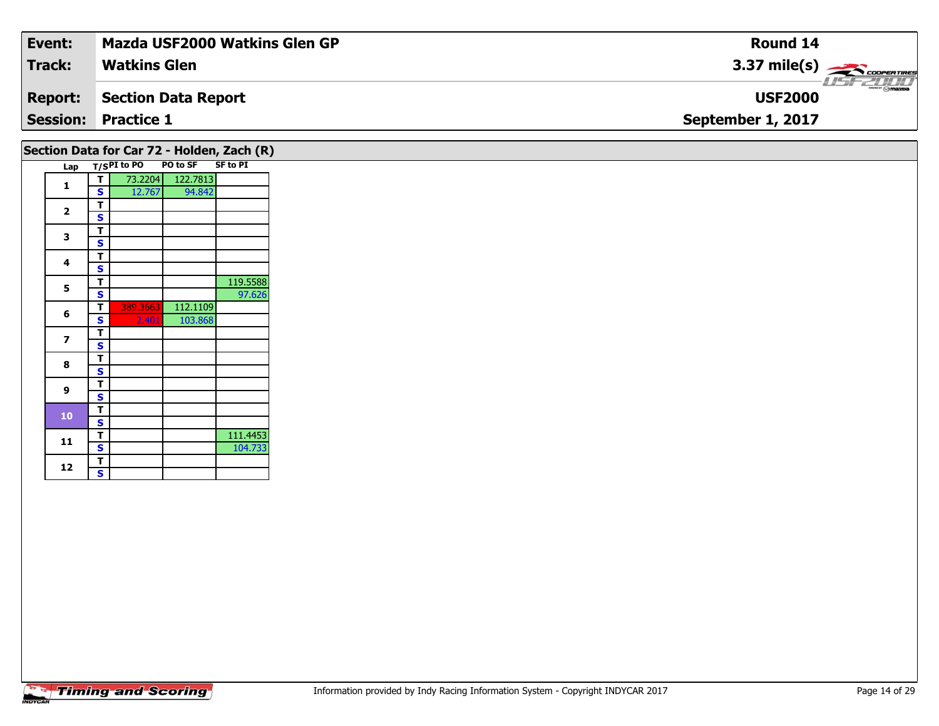| Event:         | <b>Mazda USF2000 Watkins Glen GP</b> | Round 14                                    |
|----------------|--------------------------------------|---------------------------------------------|
| Track:         | <b>Watkins Glen</b>                  | $3.37 \text{ mile(s)}$                      |
| <b>Report:</b> | Section Data Report                  | $\overline{\Theta}$ mazoa<br><b>USF2000</b> |
|                | <b>Session: Practice 1</b>           | September 1, 2017                           |
|                |                                      |                                             |

|              |   |             |          | Section Data for Car 72 - Holden, Zach (R) |
|--------------|---|-------------|----------|--------------------------------------------|
| Lap          |   | T/SPI to PO | PO to SF | <b>SF to PI</b>                            |
| 1            | т | 73.2204     | 122.7813 |                                            |
|              | S | 12.767      | 94.842   |                                            |
| $\mathbf{2}$ | т |             |          |                                            |
|              | S |             |          |                                            |
| 3            | т |             |          |                                            |
|              | S |             |          |                                            |
| 4            | т |             |          |                                            |
|              | S |             |          |                                            |
| 5            | т |             |          | 119.5588                                   |
|              | S |             |          | 97.626                                     |
| 6            | т | 389.3663    | 112.1109 |                                            |
|              | S | 2.401       | 103.868  |                                            |
| 7            | т |             |          |                                            |
|              | S |             |          |                                            |
| 8            | т |             |          |                                            |
|              | S |             |          |                                            |
| 9            | т |             |          |                                            |
|              | S |             |          |                                            |
| 10           | т |             |          |                                            |
|              | S |             |          |                                            |
| 11           | т |             |          | 111.4453                                   |
|              | S |             |          | 104.733                                    |
| 12           | т |             |          |                                            |
|              | S |             |          |                                            |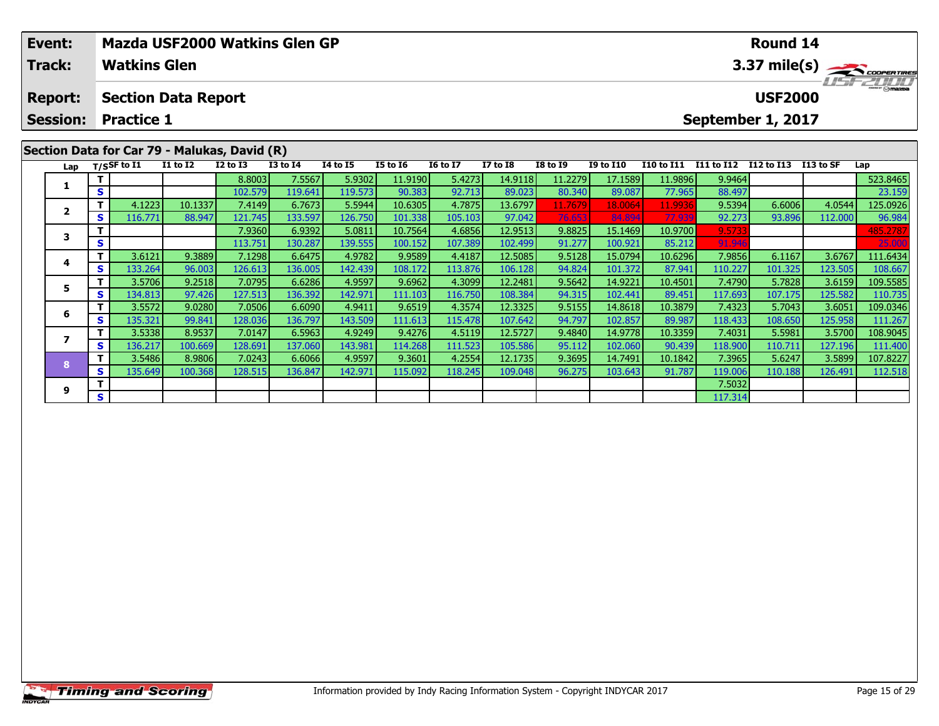|  | Event:          |    |                       |                            | Mazda USF2000 Watkins Glen GP                |                 |                 |                 |                 | <b>Round 14</b> |                 |                        |                       |        |                      |         |          |
|--|-----------------|----|-----------------------|----------------------------|----------------------------------------------|-----------------|-----------------|-----------------|-----------------|-----------------|-----------------|------------------------|-----------------------|--------|----------------------|---------|----------|
|  | <b>Track:</b>   |    | <b>Watkins Glen</b>   |                            |                                              |                 |                 |                 |                 |                 |                 | $3.37 \text{ mile(s)}$ |                       |        |                      |         |          |
|  | <b>Report:</b>  |    |                       | <b>Section Data Report</b> |                                              |                 |                 |                 |                 |                 |                 |                        |                       |        | <b>USF2000</b>       |         | $H = -H$ |
|  | <b>Session:</b> |    | <b>Practice 1</b>     |                            |                                              |                 |                 |                 |                 |                 |                 |                        |                       |        | September 1, 2017    |         |          |
|  |                 |    |                       |                            | Section Data for Car 79 - Malukas, David (R) |                 |                 |                 |                 |                 |                 |                        |                       |        |                      |         |          |
|  | Lap             |    | $_{\rm T/SS}$ F to I1 | $I1$ to $I2$               | $I2$ to $I3$                                 | <b>I3 to I4</b> | <b>I4 to I5</b> | <b>I5 to 16</b> | <b>16 to 17</b> | <b>I7 to I8</b> | <b>I8 to I9</b> | <b>I9 to I10</b>       | I10 to I11 I11 to I12 |        | I12 to I13 I13 to SF |         | Lap      |
|  |                 |    |                       |                            | 8.8003                                       | 7.5567          | 5.9302          | 11.9190         | 5.4273          | 14.9118         | 11.2279         | 17.1589                | 11.9896               | 9.9464 |                      |         | 523.8465 |
|  |                 | S. |                       |                            | 102.579                                      | 119.641         | 119.573         | 90.383          | 92.713          | 89.023          | 80.340          | 89.087                 | 77.965                | 88.497 |                      |         | 23.159   |
|  |                 |    | 4.1223                | 10.1337                    | 7.4149                                       | 6.7673          | 5.5944          | 10.6305         | 4.7875          | 13.6797         | 11.7679         | 18,0064                | 11.9936               | 9.5394 | 6.6006               | 4.0544  | 125.0926 |
|  | ◢               | S. | 116.771               | 88.947                     | 121.745                                      | 133.597         | 126.750         | 101.338         | 105.103         | 97.042          | 76.653          | 84.894                 | 77.939                | 92.273 | 93.896               | 112.000 | 96.984   |

**<sup>T</sup>** 7.9360 6.9392 5.0811 10.7564 4.6856 12.9513 9.8825 15.1469 10.9700 9.5733 485.2787 **<sup>S</sup>** 113.751 130.287 139.555 100.152 107.389 102.499 91.277 100.921 85.212 91.946 25.000

**<sup>T</sup>** 3.6121 9.3889 7.1298 6.6475 4.9782 9.9589 4.4187 12.5085 9.5128 15.0794 10.6296 7.9856 6.1167 3.6767 111.6434 **<sup>S</sup>** 133.264 96.003 126.613 136.005 142.439 108.172 113.876 106.128 94.824 101.372 87.941 110.227 101.325 123.505 108.667

**<sup>T</sup>** 3.5706 9.2518 7.0795 6.6286 4.9597 9.6962 4.3099 12.2481 9.5642 14.9221 10.4501 7.4790 5.7828 3.6159 109.5585 **<sup>S</sup>** 134.813 97.426 127.513 136.392 142.971 111.103 116.750 108.384 94.315 102.441 89.451 117.693 107.175 125.582 110.735

6 | T | 3.5572| 9.0280| 7.0506| 6.6090| 4.9411| 9.6519| 4.3574| 12.3325| 9.5155| 14.8618| 10.3879| 7.4323| 5.7043| 3.6051| 109.0346<br>| S | 135.321 99.841 128.036 136.797 143.509 111.613 115.478 107.642 94.797 102.857 89.987

7 | T | 3.5338| 8.9537| 7.0147| 6.5963| 4.9249| 9.4276| 4.5119| 12.5727| 9.4840| 14.9778| 10.3359| 7.4031| 5.5981| 3.5700| 108.9045<br>7 | S | 136.217| 100.669| 128.691| 137.060| 143.981| 114.268| 111.523| 105.586| 95.112| 10

8 T | 3.5486 8.9806 7.0243 6.6066 4.9597 9.3601 4.2554 12.1735 9.3695 14.7491 10.1842 7.3965 5.6247 3.5899 107.8227<br>8 S 135.649 100.368 128.515 136.847 142.971 115.092 118.245 109.048 96.275 103.643 91.787 119.006 110.188

**<sup>T</sup>** 7.5032 **<sup>S</sup>** 117.314

## **Timing and Scoring**

**3**

**4**

**5**

**6**

**7**

**8**

**9**

108.667

111.400

112.518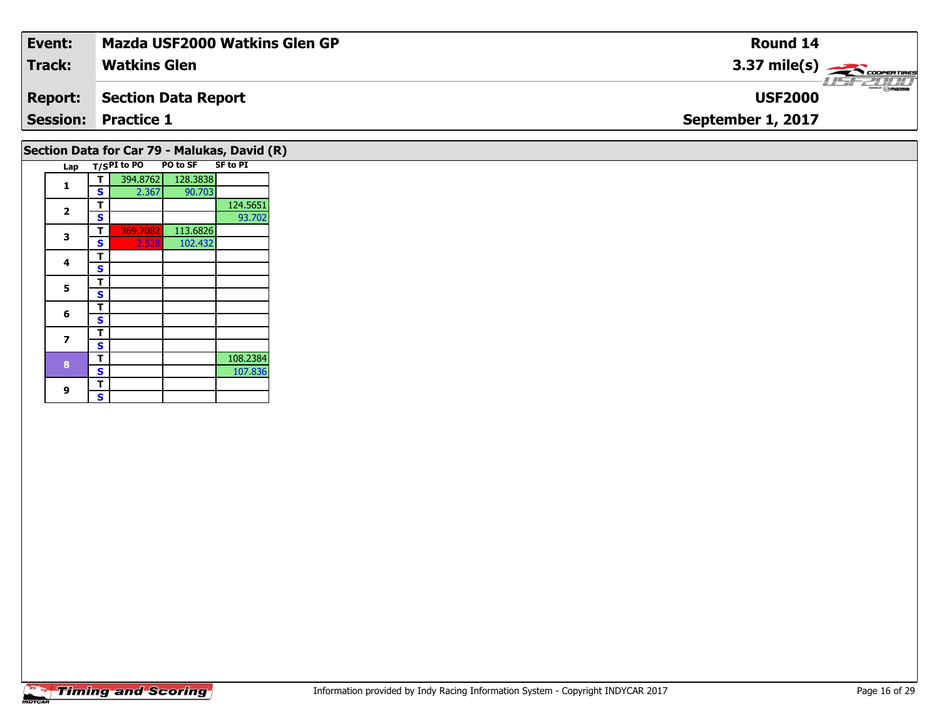| Event:         | <b>Mazda USF2000 Watkins Glen GP</b> | Round 14               |
|----------------|--------------------------------------|------------------------|
| <b>Track:</b>  | <b>Watkins Glen</b>                  | $3.37 \text{ mile(s)}$ |
| <b>Report:</b> | Section Data Report                  | <b>USF2000</b>         |
|                | <b>Session: Practice 1</b>           | September 1, 2017      |
|                |                                      |                        |

#### **Lap T/SPI to PO PO to SF SF to PI Section Data for Car 79 - Malukas, David (R)**

| Lap                     |   | 175 r 1 w r v | וטעש     | JI LU FIL |
|-------------------------|---|---------------|----------|-----------|
|                         | т | 394.8762      | 128.3838 |           |
| 1                       | S | 2.367         | 90.703   |           |
|                         | т |               |          | 124.5651  |
| $\overline{\mathbf{2}}$ | S |               |          | 93.702    |
|                         | т | 369.7082      | 113.6826 |           |
| 3                       | S | 2.528         | 102.432  |           |
| 4                       | т |               |          |           |
|                         | S |               |          |           |
| 5                       | т |               |          |           |
|                         | S |               |          |           |
| 6                       | т |               |          |           |
|                         | S |               |          |           |
| 7                       | т |               |          |           |
|                         | S |               |          |           |
| 8                       | т |               |          | 108.2384  |
|                         | S |               |          | 107.836   |
| 9                       | т |               |          |           |
|                         | S |               |          |           |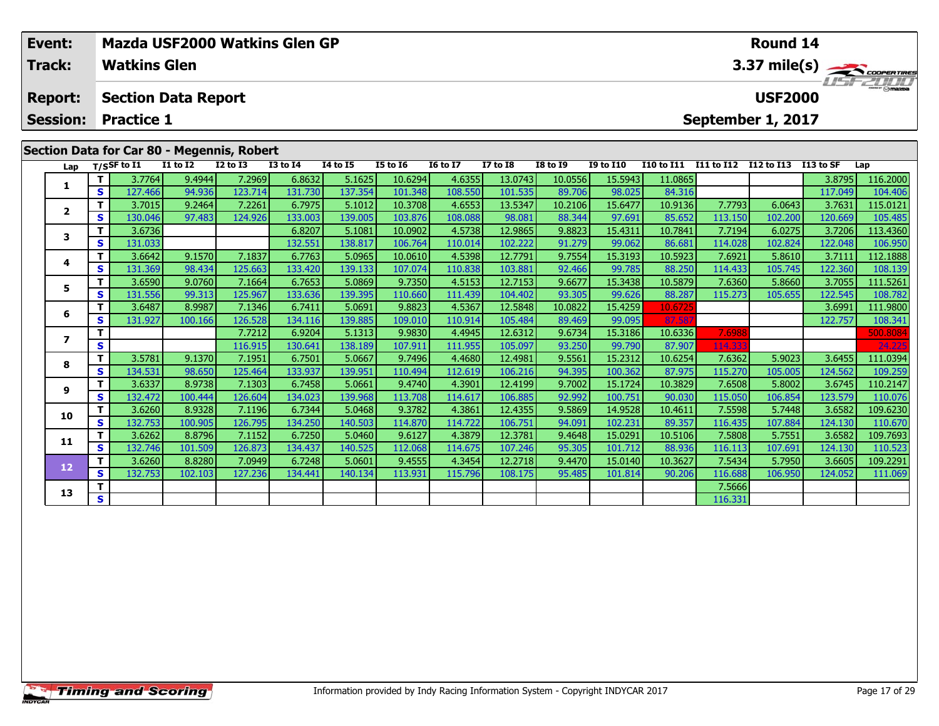|                                            | Event:                               |         |                | Mazda USF2000 Watkins Glen GP |              |                 |                 |                 | <b>Round 14</b> |              |                          |                  |            |            |                |            |                      |
|--------------------------------------------|--------------------------------------|---------|----------------|-------------------------------|--------------|-----------------|-----------------|-----------------|-----------------|--------------|--------------------------|------------------|------------|------------|----------------|------------|----------------------|
|                                            | <b>Track:</b><br><b>Watkins Glen</b> |         |                |                               |              |                 |                 |                 |                 |              | 3.37 mile(s) COOPERTIRES |                  |            |            |                |            |                      |
|                                            | <b>Report:</b>                       |         |                | <b>Section Data Report</b>    |              |                 |                 |                 |                 |              |                          |                  |            |            | <b>USF2000</b> |            | $\frac{1}{\sqrt{2}}$ |
|                                            | <b>Session:</b><br><b>Practice 1</b> |         |                |                               |              |                 |                 |                 |                 |              | September 1, 2017        |                  |            |            |                |            |                      |
| Section Data for Car 80 - Megennis, Robert |                                      |         |                |                               |              |                 |                 |                 |                 |              |                          |                  |            |            |                |            |                      |
|                                            | Lap                                  |         | $T/S$ SF to I1 | <b>I1 to I2</b>               | $I2$ to $I3$ | <b>I3 to I4</b> | <b>I4 to I5</b> | <b>I5 to 16</b> | <b>16 to 17</b> | $I7$ to $I8$ | <b>I8 to I9</b>          | <b>I9 to I10</b> | I10 to I11 | I11 to I12 | I12 to I13     | I 13 to SF | Lap                  |
|                                            |                                      |         | 3.7764         | 9.4944                        | 7.2969       | 6.8632          | 5.1625          | 10.6294         | 4.6355          | 13.0743      | 10.0556                  | 15.5943          | 11.0865    |            |                | 3.8795     | 116.2000             |
|                                            | S.                                   | 127.466 | 94.936         | 123.714                       | 131.730      | 137.354         | 101.348         | 108.550         | 101.535         | 89.706       | 98.025                   | 84.316           |            |            | 117.049        | 104.406    |                      |
|                                            |                                      |         |                |                               |              |                 |                 |                 |                 |              |                          |                  |            |            |                |            |                      |

|                         |    | 3.7764  | 9.4944  | 7.29691 | 6.8632  | 5.1625  | 10.6294 | 4.63551 | 13.07431 | 10.05561 | 15.59431 | 11.08651 |         |         | 3.8795  | 116.2000 |
|-------------------------|----|---------|---------|---------|---------|---------|---------|---------|----------|----------|----------|----------|---------|---------|---------|----------|
|                         | S. | 127.466 | 94.936  | 123.714 | 131.730 | 137.354 | 101.348 | 108.550 | 101.535  | 89.706   | 98.025   | 84.316   |         |         | 117.049 | 104.406  |
| $\overline{\mathbf{2}}$ | T. | 3.7015  | 9.2464  | 7.2261  | 6.7975  | 5.1012  | 10.3708 | 4.6553  | 13.5347  | 10.2106  | 15.6477  | 10.9136  | 7.7793  | 6.0643  | 3.7631  | 115.0121 |
|                         | s  | 130.046 | 97.483  | 124.926 | 133.003 | 139.005 | 103.876 | 108.088 | 98.081   | 88.344   | 97.691   | 85.652   | 113.150 | 102.200 | 120.669 | 105.485  |
| 3                       | т  | 3.6736  |         |         | 6.8207  | 5.1081  | 10.0902 | 4.5738  | 12.9865  | 9.8823   | 15.4311  | 10.7841  | 7.7194  | 6.0275  | 3.7206  | 113.4360 |
|                         | s  | 131.033 |         |         | 132.551 | 138.817 | 106.764 | 110.014 | 102.222  | 91.279   | 99.062   | 86.681   | 114.028 | 102.824 | 122.048 | 106.950  |
| 4                       | T. | 3.6642  | 9.1570  | 7.1837  | 6.7763  | 5.0965  | 10.0610 | 4.5398  | 12.7791  | 9.7554   | 15.3193  | 10.5923  | 7.6921  | 5.8610  | 3.7111  | 112.1888 |
|                         | S  | 131.369 | 98.434  | 125.663 | 133.420 | 139.133 | 107.074 | 110.838 | 103.881  | 92.466   | 99.785   | 88.250   | 114.433 | 105.745 | 122.360 | 108.139  |
| 5                       | T. | 3.6590  | 9.0760  | 7.1664  | 6.7653  | 5.0869  | 9.7350  | 4.5153  | 12.7153  | 9.6677   | 15.3438  | 10.5879  | 7.6360  | 5.8660  | 3.7055  | 111.5261 |
|                         | S. | 131.556 | 99.313  | 125.967 | 133.636 | 139.395 | 110.660 | 111.439 | 104.402  | 93.305   | 99.626   | 88.287   | 115.273 | 105.655 | 122.545 | 108.782  |
| 6                       | T. | 3.6487  | 8.9987  | 7.1346  | 6.7411  | 5.0691  | 9.8823  | 4.5367  | 12.5848  | 10.0822  | 15.4259  | 10.6725  |         |         | 3.6991  | 111.9800 |
|                         | s  | 131.927 | 100.166 | 126.528 | 134.116 | 139.885 | 109.010 | 110.914 | 105.484  | 89.469   | 99.095   | 87.587   |         |         | 122.757 | 108.341  |
| 7                       | т  |         |         | 7.7212  | 6.9204  | 5.1313  | 9.9830  | 4.4945  | 12.6312  | 9.6734   | 15.3186  | 10.6336  | 7.6988  |         |         | 500.8084 |
|                         | S. |         |         | 116.915 | 130.641 | 138.189 | 107.911 | 111.955 | 105.097  | 93.250   | 99.790   | 87.907   | 114.333 |         |         | 24.225   |
| 8                       | T. | 3.5781  | 9.1370  | 7.1951  | 6.7501  | 5.0667  | 9.7496  | 4.4680  | 12.4981  | 9.5561   | 15.2312  | 10.6254  | 7.6362  | 5.9023  | 3.6455  | 111.0394 |
|                         | S. | 134.531 | 98.650  | 125.464 | 133.937 | 139.951 | 110.494 | 112.619 | 106.216  | 94.395   | 100.362  | 87.975   | 115.270 | 105.005 | 124.562 | 109.259  |
| 9                       | T. | 3.6337  | 8.9738  | 7.1303  | 6.7458  | 5.0661  | 9.4740  | 4.3901  | 12.4199  | 9.7002   | 15.1724  | 10.3829  | 7.6508  | 5.8002  | 3.6745  | 110.2147 |
|                         | S. | 132.472 | 100.444 | 126.604 | 134.023 | 139.968 | 113.708 | 114.617 | 106.885  | 92.992   | 100.751  | 90.030   | 115.050 | 106.854 | 123.579 | 110.076  |
| 10                      | T. | 3.6260  | 8.9328  | 7.1196  | 6.7344  | 5.0468  | 9.3782  | 4.3861  | 12.4355  | 9.5869   | 14.9528  | 10.4611  | 7.5598  | 5.7448  | 3.6582  | 109.6230 |
|                         | S. | 132.753 | 100.905 | 126.795 | 134.250 | 140.503 | 114.870 | 114.722 | 106.751  | 94.091   | 102.231  | 89.357   | 116.435 | 107.884 | 124.130 | 110.670  |
| 11                      | т  | 3.6262  | 8.8796  | 7.1152  | 6.7250  | 5.0460  | 9.6127  | 4.3879  | 12.3781  | 9.4648   | 15.0291  | 10.5106  | 7.5808  | 5.7551  | 3.6582  | 109.7693 |
|                         | S. | 132.746 | 101.509 | 126.873 | 134.437 | 140.525 | 112.068 | 114.675 | 107.246  | 95.305   | 101.712  | 88.936   | 116.113 | 107.691 | 124.130 | 110.523  |
| 12                      | T. | 3.6260  | 8.8280  | 7.0949  | 6.7248  | 5.0601  | 9.4555  | 4.3454  | 12.2718  | 9.4470   | 15.0140  | 10.3627  | 7.5434  | 5.7950  | 3.6605  | 109.2291 |
|                         | S. | 132.753 | 102.103 | 127.236 | 134.441 | 140.134 | 113.931 | 115.796 | 108.175  | 95.485   | 101.814  | 90.206   | 116.688 | 106.950 | 124.052 | 111.069  |
| 13                      | т  |         |         |         |         |         |         |         |          |          |          |          | 7.5666  |         |         |          |
|                         | S  |         |         |         |         |         |         |         |          |          |          |          | 116.331 |         |         |          |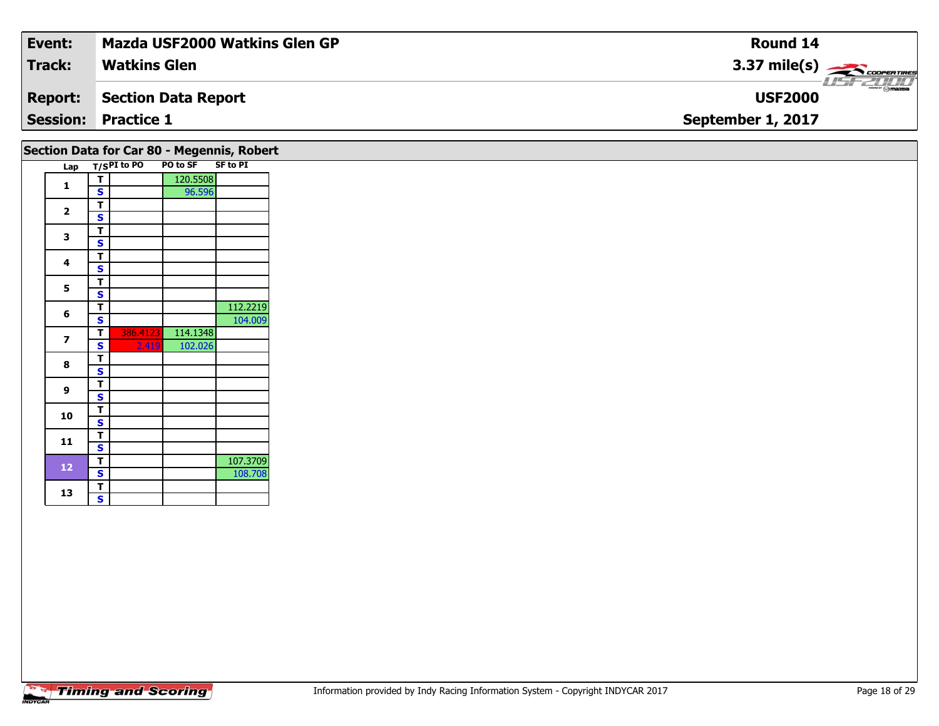| Event:         | Mazda USF2000 Watkins Glen GP | Round 14                                                                                                                                                                                                                                                                                                                                                                                                                                                                                          |
|----------------|-------------------------------|---------------------------------------------------------------------------------------------------------------------------------------------------------------------------------------------------------------------------------------------------------------------------------------------------------------------------------------------------------------------------------------------------------------------------------------------------------------------------------------------------|
| Track:         | <b>Watkins Glen</b>           | $3.37 \text{ mile(s)}$                                                                                                                                                                                                                                                                                                                                                                                                                                                                            |
| <b>Report:</b> | Section Data Report           | $\overline{\phantom{a}}$ $\overline{\phantom{a}}$ $\overline{\phantom{a}}$ $\overline{\phantom{a}}$ $\overline{\phantom{a}}$ $\overline{\phantom{a}}$ $\overline{\phantom{a}}$ $\overline{\phantom{a}}$ $\overline{\phantom{a}}$ $\overline{\phantom{a}}$ $\overline{\phantom{a}}$ $\overline{\phantom{a}}$ $\overline{\phantom{a}}$ $\overline{\phantom{a}}$ $\overline{\phantom{a}}$ $\overline{\phantom{a}}$ $\overline{\phantom{a}}$ $\overline{\phantom{a}}$ $\overline{\$<br><b>USF2000</b> |
|                | <b>Session: Practice 1</b>    | September 1, 2017                                                                                                                                                                                                                                                                                                                                                                                                                                                                                 |
|                |                               |                                                                                                                                                                                                                                                                                                                                                                                                                                                                                                   |

| Section Data for Car 80 - Megennis, Robert<br>Lap |                         | T/SPI to PO | PO to SF | <b>SF to PI</b> |
|---------------------------------------------------|-------------------------|-------------|----------|-----------------|
|                                                   | T                       |             | 120.5508 |                 |
| $\mathbf{1}$                                      | $\overline{\mathbf{s}}$ |             | 96.596   |                 |
|                                                   | T                       |             |          |                 |
| $\overline{2}$                                    | $\mathbf s$             |             |          |                 |
|                                                   | $\overline{\mathsf{r}}$ |             |          |                 |
| 3                                                 | $\mathbf s$             |             |          |                 |
| 4                                                 | T                       |             |          |                 |
|                                                   | $\overline{\mathbf{s}}$ |             |          |                 |
|                                                   | T                       |             |          |                 |
| 5                                                 | $\overline{\mathbf{s}}$ |             |          |                 |
|                                                   | T                       |             |          | 112.2219        |
| 6                                                 | $\mathbf s$             |             |          | 104.009         |
| $\overline{\phantom{a}}$                          | т                       | 386.4123    | 114.1348 |                 |
|                                                   | S                       | 2.419       | 102.026  |                 |
| 8                                                 | T                       |             |          |                 |
|                                                   | $\overline{\mathbf{s}}$ |             |          |                 |
| 9                                                 | T                       |             |          |                 |
|                                                   | $\mathbf s$             |             |          |                 |
| 10                                                | T                       |             |          |                 |
|                                                   | $\mathbf s$             |             |          |                 |
| 11                                                | T                       |             |          |                 |
|                                                   | $\overline{\mathbf{s}}$ |             |          |                 |
|                                                   | T                       |             |          | 107.3709        |
| 12                                                | $\mathbf{s}$            |             |          | 108.708         |
|                                                   | T                       |             |          |                 |
| 13                                                | $\mathbf{s}$            |             |          |                 |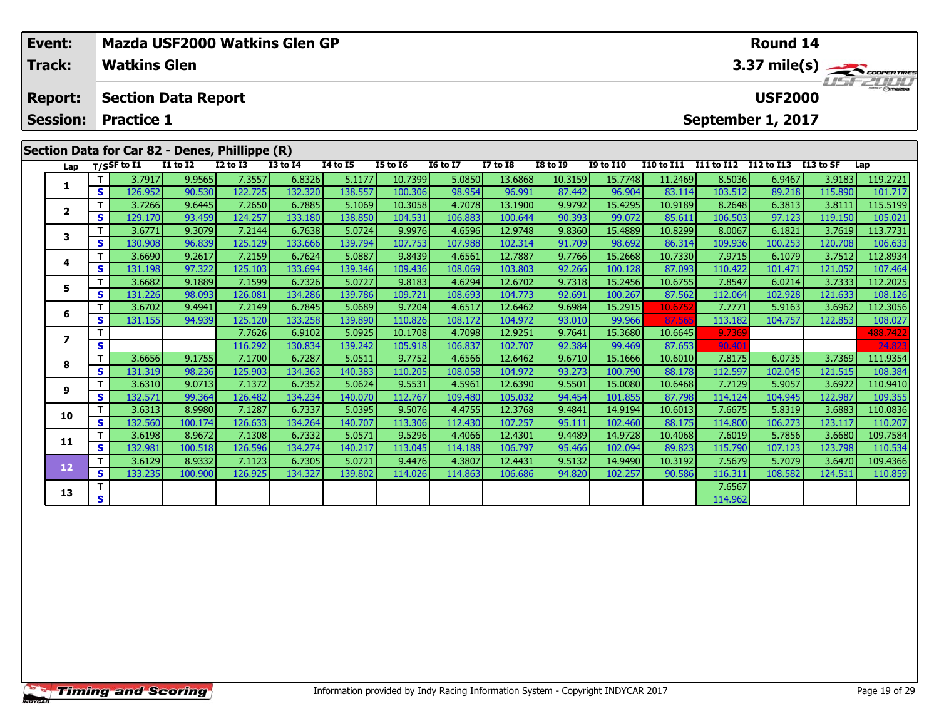| Event:          |    | Mazda USF2000 Watkins Glen GP |                 |                                                | Round 14        |                 |          |                 |                 |                 |                  |                          |            |                   |           |          |  |  |
|-----------------|----|-------------------------------|-----------------|------------------------------------------------|-----------------|-----------------|----------|-----------------|-----------------|-----------------|------------------|--------------------------|------------|-------------------|-----------|----------|--|--|
| <b>Track:</b>   |    | <b>Watkins Glen</b>           |                 |                                                |                 |                 |          |                 |                 |                 |                  | 3.37 mile(s)<br>USF 2000 |            |                   |           |          |  |  |
| <b>Report:</b>  |    | <b>Section Data Report</b>    |                 |                                                |                 |                 |          |                 |                 |                 |                  |                          |            | <b>USF2000</b>    |           |          |  |  |
| <b>Session:</b> |    | <b>Practice 1</b>             |                 |                                                |                 |                 |          |                 |                 |                 |                  |                          |            | September 1, 2017 |           |          |  |  |
|                 |    |                               |                 |                                                |                 |                 |          |                 |                 |                 |                  |                          |            |                   |           |          |  |  |
|                 |    |                               |                 | Section Data for Car 82 - Denes, Phillippe (R) |                 |                 |          |                 |                 |                 |                  |                          |            |                   |           |          |  |  |
| Lap             |    | T/SSF to $I1$                 | <b>I1 to I2</b> | $I2$ to $I3$                                   | <b>I3 to I4</b> | <b>I4 to I5</b> | I5 to 16 | <b>I6 to I7</b> | <b>I7 to I8</b> | <b>I8 to 19</b> | <b>I9 to I10</b> | <b>I10 to I11</b>        | I11 to I12 | I12 to I13        | I13 to SF | Lap      |  |  |
|                 |    | 3.7917                        | 9.9565          | 7.3557                                         | 6.8326          | 5.1177          | 10.7399  | 5.0850          | 13.6868         | 10.3159         | 15.7748          | 11.2469                  | 8.5036     | 6.9467            | 3.9183    | 119.2721 |  |  |
|                 | S. | 126.952                       | 90.530          | 122.725                                        | 132.320         | 138.557         | 100.306  | 98.954          | 96.991          | 87.442          | 96.904           | 83.114                   | 103.512    | 89.218            | 115.890   | 101.717  |  |  |
|                 |    | 3.7266                        | 9.6445          | 7.2650                                         | 6.7885          | 5.1069          | 10.3058  | 4.7078          | 13.1900         | 9.9792          | 15.4295          | 10.9189                  | 8.2648     | 6.3813            | 3.8111    | 115.5199 |  |  |
|                 | S. | 129.170                       | 93.459          | 124.257                                        | 133.180         | 138.850         | 104.531  | 106.883         | 100.644         | 90.393          | 99.072           | 85.611                   | 106.503    | 97.123            | 119.150   | 105.021  |  |  |
|                 |    | 3.6771                        |                 |                                                | 6.7638          | 5.0724          | 9.9976   | 4.6596          | 12.9748         | 9.8360          | 15.4889          | 10.8299                  | 8.0067     | 6.1821            | 3.7619    | 113.7731 |  |  |
| 3               |    |                               | 9.3079          | 7.2144                                         |                 |                 |          |                 |                 |                 |                  |                          |            |                   |           |          |  |  |

| Lap                     |    | $T/S$ SF to I1 | <b>I1 to I2</b> | <b>I2 to I3</b> | <b>I3 to I4</b> | <b>I4 to I5</b> | <b>I5 to 16</b> | <b>16 to 17</b> | <b>I7 to I8</b> | <b>I8 to I9</b> | <b>I9 to I10</b> | <b>I10 to I11</b> | I11 to I12 | I12 to I13 | I13 to SF | Lap      |
|-------------------------|----|----------------|-----------------|-----------------|-----------------|-----------------|-----------------|-----------------|-----------------|-----------------|------------------|-------------------|------------|------------|-----------|----------|
| 1                       |    | 3.7917         | 9.9565          | 7.3557          | 6.8326          | 5.1177          | 10.7399         | 5.0850          | 13.6868         | 10.3159         | 15.7748          | 11.2469           | 8.5036     | 6.9467     | 3.9183    | 119.2721 |
|                         | S  | 126.952        | 90.530          | 122.725         | 132.320         | 138.557         | 100.306         | 98.954          | 96.991          | 87.442          | 96.904           | 83.114            | 103.512    | 89.218     | 115.890   | 101.717  |
| $\overline{\mathbf{2}}$ | т  | 3.7266         | 9.6445          | 7.2650          | 6.7885          | 5.1069          | 10.3058         | 4.7078          | 13.1900         | 9.9792          | 15.4295          | 10.9189           | 8.2648     | 6.3813     | 3.8111    | 115.5199 |
|                         | S  | 129.170        | 93.459          | 124.257         | 133.180         | 138.850         | 104.531         | 106.883         | 100.644         | 90.393          | 99.072           | 85.611            | 106.503    | 97.123     | 119.150   | 105.021  |
| 3                       | т  | 3.6771         | 9.3079          | 7.2144          | 6.7638          | 5.0724          | 9.9976          | 4.6596          | 12.9748         | 9.8360          | 15.4889          | 10.8299           | 8.0067     | 6.1821     | 3.7619    | 113.7731 |
|                         | S  | 130.908        | 96.839          | 125.129         | 133.666         | 139.794         | 107.753         | 107.988         | 102.314         | 91.709          | 98.692           | 86.314            | 109.936    | 100.253    | 120.708   | 106.633  |
| 4                       | т  | 3.6690         | 9.2617          | 7.2159          | 6.7624          | 5.0887          | 9.8439          | 4.6561          | 12.7887         | 9.7766          | 15.2668          | 10.7330           | 7.9715     | 6.1079     | 3.7512    | 112.8934 |
|                         | S  | 131.198        | 97.322          | 125.103         | 133.694         | 139.346         | 109.436         | 108.069         | 103.803         | 92.266          | 100.128          | 87.093            | 110.422    | 101.471    | 121.052   | 107.464  |
| 5                       | т  | 3.6682         | 9.1889          | 7.1599          | 6.7326          | 5.0727          | 9.8183          | 4.6294          | 12.6702         | 9.7318          | 15.2456          | 10.6755           | 7.8547     | 6.0214     | 3.7333    | 12.2025  |
|                         | S  | 131.226        | 98.093          | 126.081         | 134.286         | 139.786         | 109.721         | 108.693         | 104.773         | 92.691          | 100.267          | 87.562            | 112.064    | 102.928    | 121.633   | 108.126  |
| 6                       | т  | 3.6702         | 9.4941          | 7.2149          | 6.7845          | 5.0689          | 9.7204          | 4.6517          | 12.6462         | 9.6984          | 15.2915          | 10.6752           | 7.7771     | 5.9163     | 3.6962    | 112.3056 |
|                         | S  | 131.155        | 94.939          | 125.120         | 133.258         | 139.890         | 110.826         | 108.172         | 104.972         | 93.010          | 99.966           | 87.565            | 113.182    | 104.757    | 122.853   | 108.027  |
| 7                       |    |                |                 | 7.7626          | 6.9102          | 5.0925          | 10.1708         | 4.7098          | 12.9251         | 9.7641          | 15.3680          | 10.6645           | 9.7369     |            |           | 488.7422 |
|                         | S  |                |                 | 116.292         | 130.834         | 139.242         | 105.918         | 106.837         | 102.707         | 92.384          | 99.469           | 87.653            | 90.401     |            |           | 24.823   |
| 8                       | т  | 3.6656         | 9.1755          | 7.1700          | 6.7287          | 5.0511          | 9.7752          | 4.6566          | 12.6462         | 9.6710          | 15.1666          | 10.6010           | 7.8175     | 6.0735     | 3.7369    | 111.9354 |
|                         | S  | 131.319        | 98.236          | 125.903         | 134.363         | 140.383         | 110.205         | 108.058         | 104.972         | 93.273          | 100.790          | 88.178            | 112.597    | 102.045    | 121.515   | 108.384  |
| 9                       |    | 3.6310         | 9.0713          | 7.1372          | 6.7352          | 5.0624          | 9.5531          | 4.5961          | 12.6390         | 9.5501          | 15.0080          | 10.6468           | 7.7129     | 5.9057     | 3.6922    | 10.9410  |
|                         | S  | 132.571        | 99.364          | 126.482         | 134.234         | 140.070         | 112.767         | 109.480         | 105.032         | 94.454          | 101.855          | 87.798            | 114.124    | 104.945    | 122.987   | 109.355  |
| 10                      | т  | 3.6313         | 8.9980          | 7.1287          | 6.7337          | 5.0395          | 9.5076          | 4.4755          | 12.3768         | 9.4841          | 14.9194          | 10.6013           | 7.6675     | 5.8319     | 3.6883    | 110.0836 |
|                         | S. | 132.560        | 100.174         | 126.633         | 134.264         | 140.707         | 113.306         | 112.430         | 107.257         | 95.111          | 102.460          | 88.175            | 114.800    | 106.273    | 123.117   | 110.207  |
| 11                      | т  | 3.6198         | 8.9672          | 7.1308          | 6.7332          | 5.0571          | 9.5296          | 4.4066          | 12.4301         | 9.4489          | 14.9728          | 10.4068           | 7.6019     | 5.7856     | 3.6680    | 109.7584 |
|                         | S  | 132.981        | 100.518         | 126.596         | 134.274         | 140.217         | 113.045         | 114.188         | 106.797         | 95.466          | 102.094          | 89.823            | 115.790    | 107.123    | 123.798   | 110.534  |
| 12                      |    | 3.6129         | 8.9332          | 7.1123          | 6.7305          | 5.0721          | 9.4476          | 4.3807          | 12.4431         | 9.5132          | 14.9490          | 10.3192           | 7.5679     | 5.7079     | 3.6470    | 109.4366 |
|                         | S  | 133.235        | 100.900         | 126.925         | 134.327         | 139.802         | 114.026         | 114.863         | 106.686         | 94.820          | 102.257          | 90.586            | 116.311    | 108.582    | 124.511   | 110.859  |
| 13                      |    |                |                 |                 |                 |                 |                 |                 |                 |                 |                  |                   | 7.6567     |            |           |          |
|                         | S  |                |                 |                 |                 |                 |                 |                 |                 |                 |                  |                   | 114.962    |            |           |          |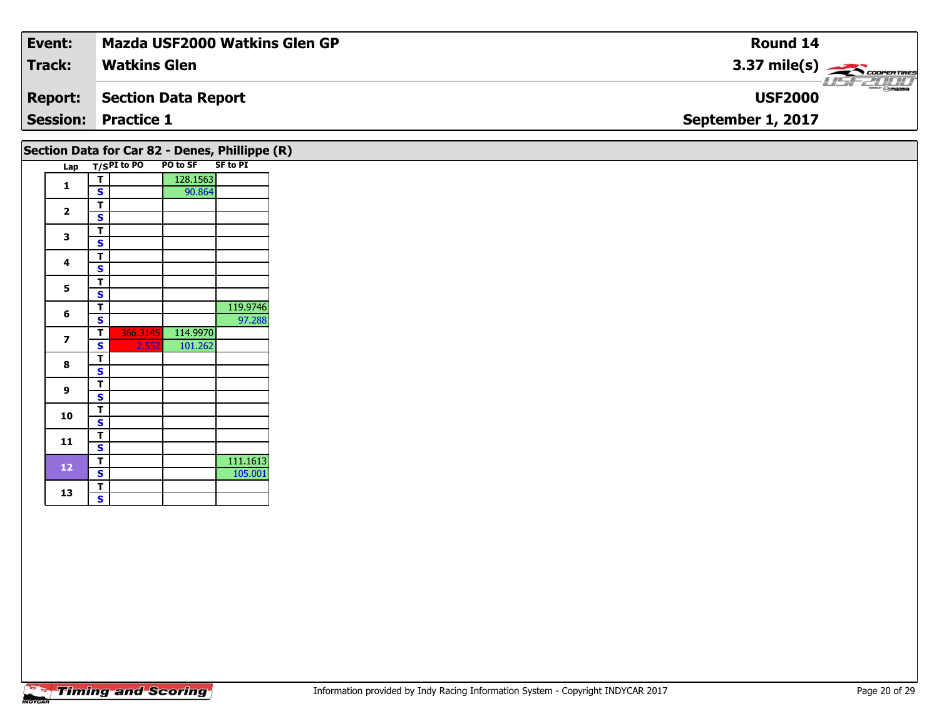| Event:          | <b>Mazda USF2000 Watkins Glen GP</b> | Round 14               |
|-----------------|--------------------------------------|------------------------|
| <b>Track:</b>   | <b>Watkins Glen</b>                  | $3.37 \text{ mile(s)}$ |
| <b>Report:</b>  | Section Data Report                  | <b>USF2000</b>         |
| <b>Session:</b> | <b>Practice 1</b>                    | September 1, 2017      |
|                 |                                      |                        |

### Lap T/S<sup>PI</sup> to PO PO to SF SF to PI **1T** 128.1563<br>**S** 90.864 2  $\frac{1}{s}$  $rac{s}{T}$ 3  $\frac{1}{s}$  $rac{s}{T}$ **4**4  $\frac{1}{s}$ 5  $\frac{1}{s}$  $\overline{\mathsf{T}}$ **6d T** 119.9746 **S** 1 **7 <sup>T</sup>** 366.3145 114.9970 **<sup>S</sup>** 2.552 101.262 8  $\frac{1}{s}$  $rac{s}{T}$ **9**9 <mark>「S</mark> **10** $\frac{1}{s}$  $\overline{\mathsf{T}}$ 11  $\frac{1}{\mathsf{S}}$ **12P** 111.1613 **S** 105.001 13  $\frac{1}{s}$  $\overline{\mathbf{s}}$ **Section Data for Car 82 - Denes, Phillippe (R)**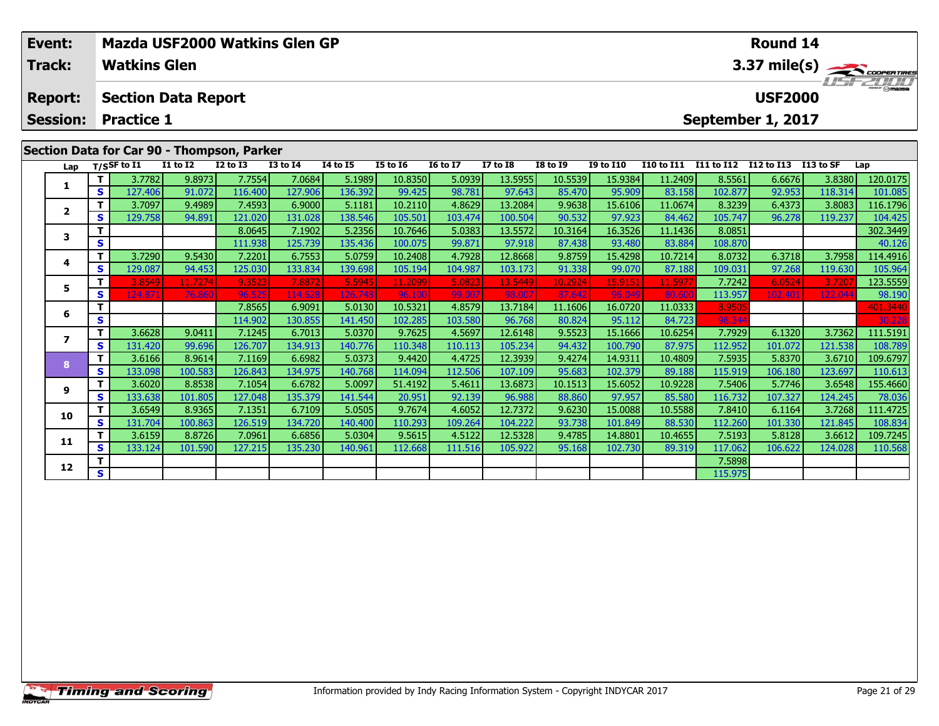| Event: |                                            |    |                     | Mazda USF2000 Watkins Glen GP |              |              |                 |                 |                 | Round 14        |                 |                                                     |                   |                   |                   |                  |                 |
|--------|--------------------------------------------|----|---------------------|-------------------------------|--------------|--------------|-----------------|-----------------|-----------------|-----------------|-----------------|-----------------------------------------------------|-------------------|-------------------|-------------------|------------------|-----------------|
|        | <b>Track:</b>                              |    | <b>Watkins Glen</b> |                               |              |              |                 |                 |                 |                 |                 |                                                     |                   |                   |                   |                  | 3.37 mile(s)    |
|        | <b>Report:</b>                             |    |                     | <b>Section Data Report</b>    |              |              |                 |                 |                 |                 |                 |                                                     |                   |                   | <b>USF2000</b>    |                  | <b>LISTZULU</b> |
|        | <b>Session:</b>                            |    | <b>Practice 1</b>   |                               |              |              |                 |                 |                 |                 |                 |                                                     |                   |                   | September 1, 2017 |                  |                 |
|        | Section Data for Car 90 - Thompson, Parker |    |                     |                               |              |              |                 |                 |                 |                 |                 |                                                     |                   |                   |                   |                  |                 |
|        | Lap                                        |    | T/SSF to I1         | <b>I1 to I2</b>               | $I2$ to $I3$ | $I3$ to $I4$ | <b>I4 to I5</b> | <b>I5 to 16</b> | <b>16 to 17</b> | <b>I7 to I8</b> | <b>I8 to I9</b> | <b>I9 to I10</b>                                    | <b>I10 to I11</b> | <b>I11 to I12</b> | I12 to I13        | <b>I13 to SF</b> | Lap             |
|        |                                            |    | 3.7782              | 9.8973                        | 7.7554       | 7.0684       | 5.1989          | 10.8350         | 5.0939          | 13.5955         | 10.5539         | 15.9384                                             | 11.2409           | 8.5561            | 6.6676            | 3.8380           | 120.0175        |
|        |                                            | S. | 127.406             | 91.072                        | 116.400      | 127.906      | 136.392         | 99.425          | 98.781          | 97.643          | 85.470          | 95.909                                              | 83.158            | 102.877           | 92.953            | 118.314          | 101.085         |
|        |                                            |    | 3.7097              | 9.4989                        | 7.4593       | 6.9000       | 5.1181          | 10.2110         | 4.8629          | 13.2084         | 9.9638          | 15.6106                                             | 11.0674           | 8.3239            | 6.4373            | 3.8083           | 116.1796        |
|        |                                            | S. | 129.758             | 94.891                        | 121.020      | 131.028      | 138.546         | 105.501         | 103.474         | 100.504         | 90.532          | 97.923                                              | 84.462            | 105.747           | 96.278            | 119.237          | 104.425         |
|        |                                            |    |                     |                               | 8.0645       | 7.1902       | 5.2356          | 10.7646         | 5.0383          | 13.5572         |                 | 16.3526<br>10.3164<br>11.1436<br>8.0851<br>302.3449 |                   |                   |                   |                  |                 |
|        |                                            | S. |                     |                               | 111.938      | 125.739      | 135.4361        | 100.075         | 99.871          | 97.918          | 87.438          | 93.480                                              | 83.884            | 108.870           |                   |                  | 40.126          |

**<sup>T</sup>** 3.7290 9.5430 7.2201 6.7553 5.0759 10.2408 4.7928 12.8668 9.8759 15.4298 10.7214 8.0732 6.3718 3.7958 114.4916 **<sup>S</sup>** 129.087 94.453 125.030 133.834 139.698 105.194 104.987 103.173 91.338 99.070 87.188 109.031 97.268 119.630 105.964

5 1 3.8549 11.7274| 9.3523| 7.8872| 5.5945| 11.2099| 5.0823| 13.5449| 10.2924| 15.9151| 11.5977| 7.7242| 6.0524| 3.7207| 123.5559<br>| S 124.871| 76.860| 96.525| 114.628| 126.748| 96.100| 99.007| 98.007| 87.642| 96.049| 80.60

**<sup>T</sup>** 7.8565 6.9091 5.0130 10.5321 4.8579 13.7184 11.1606 16.0720 11.0333 8.9505 401.3440 **<sup>S</sup>** 114.902 130.855 141.450 102.285 103.580 96.768 80.824 95.112 84.723 98.344 30.228

7 | T | 3.6628| 9.0411| 7.1245| 6.7013| 5.0370| 9.7625| 4.5697| 12.6148| 9.5523| 15.1666| 10.6254| 7.7929| 6.1320| 3.7362| 111.5191<br>7 | S | 131.420 | 99.696 126.707 134.913 140.776 110.348 110.113 105.234 | 94.432 100.790

8 T | 3.6166 8.9614 7.1169 6.6982 5.0373 9.4420 4.4725 12.3939 9.4274 14.9311 10.4809 7.5935 5.8370 3.6710 109.6797<br>8 S 133.098 100.583 126.843 134.975 140.768 114.094 112.506 107.109 95.683 102.379 89.188 115.919 106.180

<mark>11</mark> 12.6020 12.6548 127.048 127.048 135.379 141.544 20.951 92.139 96.988 88.860 97.957 85.580 116.732 107.327 124.245 78.036 101.805 127.048 135.379 141.544 20.951 9

0 T 3.6549 8.9365 7.1351 6.7109 5.0505 9.7674 4.6052 12.7372 9.6230 15.0088 10.5588 7.8410 6.1164 3.7268 111.4725<br>S 131.704 100.863 126.519 134.720 140.400 110.293 109.264 104.222 93.738 101.849 88.530 112.260 101.330 121.

**<sup>T</sup>** 3.6159 8.8726 7.0961 6.6856 5.0304 9.5615 4.5122 12.5328 9.4785 14.8801 10.4655 7.5193 5.8128 3.6612 109.7245 **<sup>S</sup>** 133.124 101.590 127.215 135.230 140.961 112.668 111.516 105.922 95.168 102.730 89.319 117.062 106.622 124.028 110.568

**<sup>T</sup>** 7.5898 **<sup>S</sup>** 115.975

# **Timing and Scoring**

**4**

**5**

**6**

**7**

**8**

**9**

**10**

**11**

**12**

105.96

108.789

78.036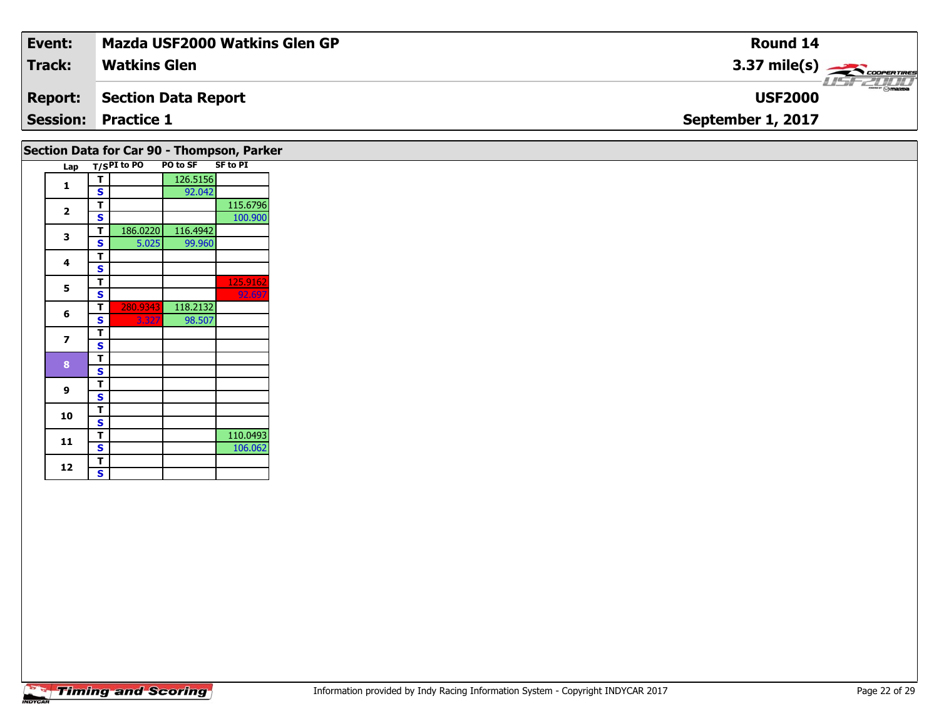| Event:         | Mazda USF2000 Watkins Glen GP | <b>Round 14</b>                                            |
|----------------|-------------------------------|------------------------------------------------------------|
| <b>Track:</b>  | <b>Watkins Glen</b>           | $3.37 \text{ mile(s)}$                                     |
| <b>Report:</b> | <b>Section Data Report</b>    | $\overline{\phantom{a}}$ $\otimes$ mazpa<br><b>USF2000</b> |
|                | <b>Session: Practice 1</b>    | September 1, 2017                                          |
|                |                               |                                                            |

#### Lap T/S<sup>PI</sup> to PO PO to SF SF to PI **1 <sup>T</sup>** 126.5156 **<sup>S</sup>** 92.042**2P** 115.6796 **S** 100.900 **3 <sup>T</sup>** 186.0220 116.4942 **<sup>S</sup>** 5.025 99.96099.960 4  $\frac{1}{s}$  $\overline{\mathbf{s}}$ **5T** 125.9162<br>**S** 92.697 **6 <sup>T</sup>** 280.9343 118.2132 **<sup>S</sup>** 3.327 98.507**7** $\overline{\mathbf{T}}$  $\mathbf{s}$ 8  $\frac{1}{s}$  $\mathbf{s}$ **9**9 <mark>「S</mark> **10** $\frac{1}{s}$  $\overline{\mathbf{T}}$ **11T** 110.0493<br> **S** 106.062 106.062 **Section Data for Car 90 - Thompson, Parker**

12  $\frac{1}{s}$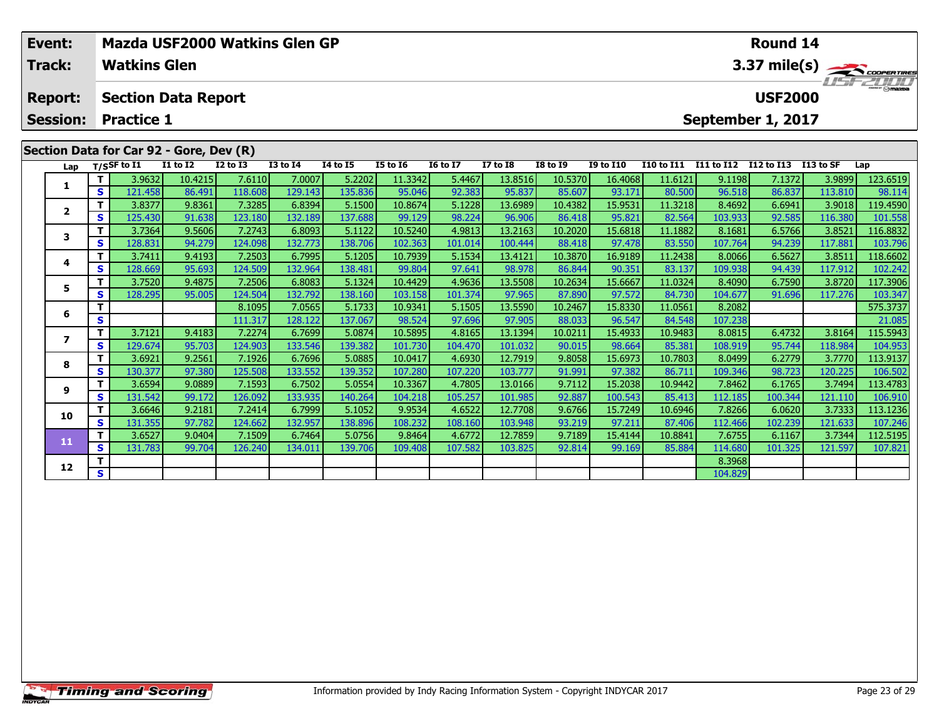| Mazda USF2000 Watkins Glen GP<br>Event:<br><b>Watkins Glen</b><br><b>Track:</b> |     |                                         |              |              |                 |                 |                 |                 |                 |                 |                  | Round 14          |            | 3.37 mile(s)      |           |            |
|---------------------------------------------------------------------------------|-----|-----------------------------------------|--------------|--------------|-----------------|-----------------|-----------------|-----------------|-----------------|-----------------|------------------|-------------------|------------|-------------------|-----------|------------|
| <b>Report:</b>                                                                  |     | <b>Section Data Report</b>              |              |              |                 |                 |                 |                 |                 |                 |                  |                   |            | <b>USF2000</b>    |           | $I = -100$ |
| <b>Session:</b>                                                                 |     | <b>Practice 1</b>                       |              |              |                 |                 |                 |                 |                 |                 |                  |                   |            | September 1, 2017 |           |            |
|                                                                                 |     | Section Data for Car 92 - Gore, Dev (R) |              |              |                 |                 |                 |                 |                 |                 |                  |                   |            |                   |           |            |
|                                                                                 |     | Lap T/SSF to I1                         | $I1$ to $I2$ | $I2$ to $I3$ | <b>I3 to I4</b> | <b>I4 to I5</b> | <b>I5 to 16</b> | <b>16 to 17</b> | <b>I7 to I8</b> | <b>I8 to I9</b> | <b>I9 to I10</b> | <b>I10 to I11</b> | I11 to I12 | I12 to I13        | I13 to SF | Lap        |
|                                                                                 |     | 3.9632                                  | 10.4215      | 7.6110       | 7.0007          | 5.2202          | 11.3342         | 5.4467          | 13.8516         | 10.5370         | 16.4068          | 11.6121           | 9.1198     | 7.1372            | 3.9899    | 123.6519   |
|                                                                                 | S l | 121.458                                 | 86.491       | 118.608      | 129.143         | 135.836         | 95.046          | 92.383          | 95.837          | 85.607          | 93.171           | 80.500            | 96.518     | 86.837            | 113.810   | 98.114     |
| $\overline{2}$                                                                  |     | 3.8377                                  | 9.8361       | 7.3285       | 6.8394          | 5.1500          | 10.8674         | 5.1228          | 13.6989         | 10.4382         | 15.9531          | 11.3218           | 8.4692     | 6.6941            | 3.9018    | 119.4590   |
|                                                                                 | S.  | 125.430                                 | 91.638       | 123.180      | 132.189         | 137.688         | 99.129          | 98.224          | 96.906          | 86.418          | 95.821           | 82.564            | 103.933    | 92.585            | 116.380   | 101.558    |
| 3                                                                               |     | 3.7364                                  | 9.5606       | 7.2743       | 6.8093          | 5.1122          | 10.5240         | 4.9813          | 13.2163         | 10.2020         | 15.6818          | 11.1882           | 8.1681     | 6.5766            | 3.8521    | 116.8832   |
|                                                                                 | S.  | 128.831                                 | 94.279       | 124.098      | 132.773         | 138.706         | 102.363         | 101.014         | 100.444         | 88.418          | 97.478           | 83.550            | 107.764    | 94.239            | 117.881   | 103.796    |
| 4                                                                               |     | 3.7411                                  | 9.4193       | 7.2503       | 6.7995          | 5.1205          | 10.7939         | 5.1534          | 13.4121         | 10.3870         | 16.9189          | 11.2438           | 8.0066     | 6.5627            | 3.8511    | 118.6602   |
|                                                                                 | S l | 128.669                                 | 95.693       | 124.509      | 132.964         | 138.481         | 99.804          | 97.641          | 98.978          | 86.844          | 90.351           | 83.137            | 109.938    | 94.439            | 117.912   | 102.242    |
| 5                                                                               |     | 3.7520                                  | 9.4875       | 7.2506       | 6.8083          | 5.1324          | 10.4429         | 4.9636          | 13.5508         | 10.2634         | 15.6667          | 11.0324           | 8.4090     | 6.7590            | 3.8720    | 117.3906   |
|                                                                                 | S.  | 128.295                                 | 95.005       | 124.504      | 132.792         | 138.160         | 103.158         | 101.374         | 97.965          | 87.890          | 97.572           | 84.730            | 104.677    | 91.696            | 117.276   | 103.347    |
|                                                                                 |     |                                         |              | 8.1095       | 7.0565          | 5.1733          | 10.9341         | 5.1505          | 13.5590         | 10.2467         | 15.8330          | 11.0561           | 8.2082     |                   |           | 575.3737   |
| 6                                                                               | S.  |                                         |              | 111.317      | 128.1221        | 137.067         | 98.524          | 97.696          | 97.905          | 88.033          | 96.547           | 84.548            | 107.238    |                   |           | 21.085     |

7 | T | 3.7121 | 9.4183 | 7.2274 | 6.7699 | 5.0874 | 10.5895 | 4.8165 | 13.1394 | 10.0211 | 15.4933 | 10.9483 | 8.0815 | 6.4732 | 3.8164 | 115.5943<br>7 | S | 129.674 | 95.703 | 124.903 | 133.546 | 139.382 | 101.730 | 104.470

**<sup>T</sup>** 3.6921 9.2561 7.1926 6.7696 5.0885 10.0417 4.6930 12.7919 9.8058 15.6973 10.7803 8.0499 6.2779 3.7770 113.9137 **<sup>S</sup>** 130.377 97.380 125.508 133.552 139.352 107.280 107.220 103.777 91.991 97.382 86.711 109.346 98.723 120.225 106.502

113.4783 | 11 | 3.6594 | 9.0889 | 7.1593 | 6.7502 | 5.0554 | 10.3367 | 4.7805 | 1.2.0166 | 9.7112 | 15.2038 |<br>S | 131.542 | 99.172 | 126.092 | 133.935 | 140.264 | 104.218 | 105.257 | 101.985 | 92.887 | 100.543 | 85.413 |

0 | T | 3.6646| 9.2181| 7.2414| 6.7999| 5.1052| 9.9534| 4.6522| 12.7708| 9.6766| 15.7249| 10.6946| 7.8266| 6.0620| 3.7333| 113.1236<br>| S | 131.355| 97.782| 124.662| 132.957| 138.896| 108.232| 108.160| 103.948| 93.219| 97.21

**<sup>T</sup>** 3.6527 9.0404 7.1509 6.7464 5.0756 9.8464 4.6772 12.7859 9.7189 15.4144 10.8841 7.6755 6.1167 3.7344 112.5195 **<sup>S</sup>** 131.783 99.704 126.240 134.011 139.706 109.408 107.582 103.825 92.814 99.169 85.884 114.680 101.325 121.597 107.821

**d T S** 104.829 **S** 104.829

**7**

**8**

**9**

**10**

**11**

**12**

104.953

106.910

107.821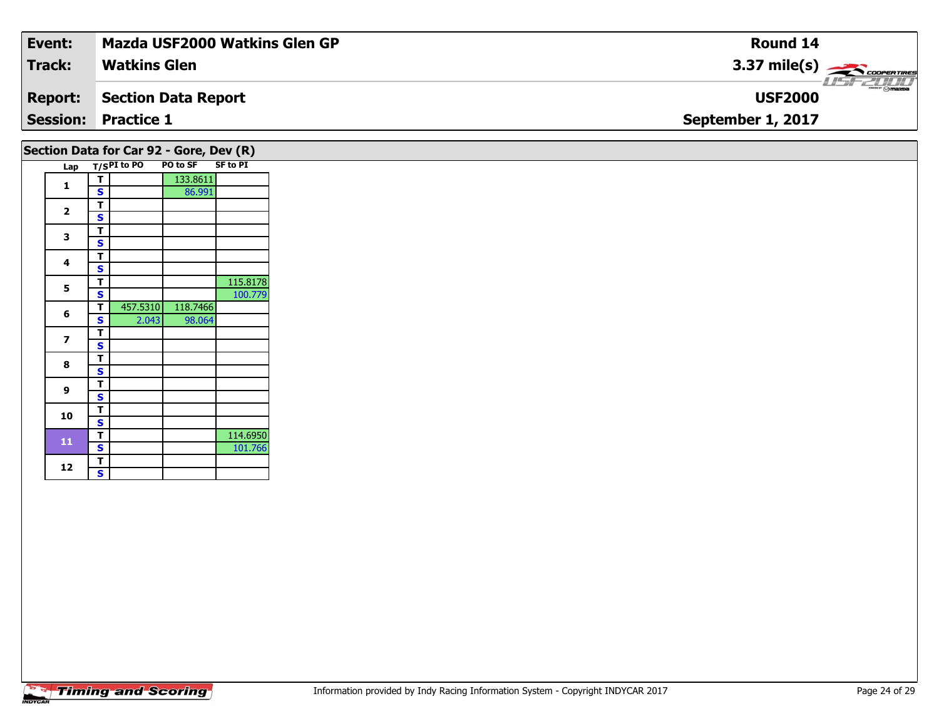| Event:         | <b>Mazda USF2000 Watkins Glen GP</b> | Round 14               |
|----------------|--------------------------------------|------------------------|
| <b>Track:</b>  | <b>Watkins Glen</b>                  | $3.37 \text{ mile(s)}$ |
| <b>Report:</b> | Section Data Report                  | <b>USF2000</b>         |
|                | <b>Session: Practice 1</b>           | September 1, 2017      |
|                |                                      |                        |

#### Lap T/S<sup>PI</sup> to PO PO to SF SF to PI **1T** 133.8611<br>**S** 86.991 2  $\frac{1}{s}$  $rac{s}{T}$ 3  $\frac{1}{s}$  $rac{s}{T}$ **4**4  $\frac{1}{s}$ **55 S S** 115.8178 **6 <sup>T</sup>** 457.5310 118.7466 **<sup>S</sup>** 2.043 98.064**7** $\overline{\mathbf{T}}$  $rac{s}{T}$ 8  $\frac{1}{s}$  $rac{s}{T}$ **9**9 <mark>「S</mark> **10** $\frac{1}{s}$  $\overline{\mathsf{T}}$ **11T** 114.6950<br>**S** 101.766 101.766 12  $\frac{1}{s}$  $\mathbf{s}$ **Section Data for Car 92 - Gore, Dev (R)**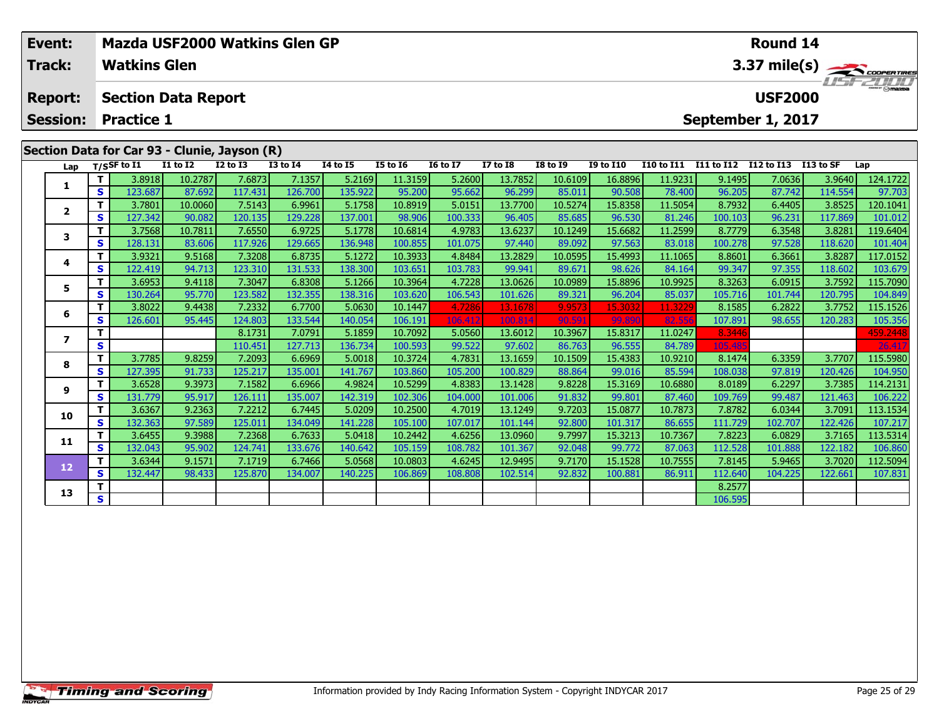| Event:          | Mazda USF2000 Watkins Glen GP |                     |                            |                                              |              |                 |                 |                 |                 |                 |                  |                   |            |                   | Round 14   |                                    |  |  |
|-----------------|-------------------------------|---------------------|----------------------------|----------------------------------------------|--------------|-----------------|-----------------|-----------------|-----------------|-----------------|------------------|-------------------|------------|-------------------|------------|------------------------------------|--|--|
| <b>Track:</b>   |                               | <b>Watkins Glen</b> |                            |                                              |              |                 |                 |                 |                 |                 |                  |                   |            |                   |            | $3.37 \text{ mile(s)}$<br>USF 2000 |  |  |
| <b>Report:</b>  |                               |                     | <b>Section Data Report</b> |                                              |              |                 |                 |                 |                 |                 |                  |                   |            | <b>USF2000</b>    |            |                                    |  |  |
| <b>Session:</b> |                               | <b>Practice 1</b>   |                            |                                              |              |                 |                 |                 |                 |                 |                  |                   |            | September 1, 2017 |            |                                    |  |  |
|                 |                               |                     |                            |                                              |              |                 |                 |                 |                 |                 |                  |                   |            |                   |            |                                    |  |  |
|                 |                               |                     |                            | Section Data for Car 93 - Clunie, Jayson (R) |              |                 |                 |                 |                 |                 |                  |                   |            |                   |            |                                    |  |  |
| Lap             |                               | T/SSF to I1         | <b>I1 to I2</b>            | $I2$ to $I3$                                 | $I3$ to $I4$ | <b>I4 to I5</b> | <b>I5 to I6</b> | <b>16 to 17</b> | <b>I7 to I8</b> | <b>I8 to I9</b> | <b>I9 to I10</b> | <b>I10 to I11</b> | I11 to I12 | I12 to I13        | I 13 to SF | Lap                                |  |  |
|                 |                               | 3.8918              | 10.2787                    | 7.6873                                       | 7.1357       | 5.2169          | 11.3159         | 5.2600          | 13.7852         | 10.6109         | 16.8896          | 11.9231           | 9.1495     | 7.0636            | 3.9640     | 124.1722                           |  |  |
|                 | S.                            | 123.687             | 87.692                     | 117.431                                      | 126.700      | 135.922         | 95.200          | 95.662          | 96.299          | 85.011          | 90.508           | 78.400            | 96.205     | 87.742            | 114.554    | 97.703                             |  |  |
|                 |                               | 3.7801              |                            |                                              |              | 5.1758          | 10.8919         | 5.0151          | 13.7700         | 10.5274         | 15.8358          | 11.5054           | 8.7932     | 6.4405            | 3.8525     | 120.1041                           |  |  |
|                 |                               |                     | 10.0060                    | 7.5143                                       | 6.9961       |                 |                 |                 |                 |                 |                  |                   |            |                   |            |                                    |  |  |
|                 | S.                            | 127.342             | 90.082                     | 120.135                                      | 129.228      | 137.001         | 98.906          | 100.333         | 96.405          | 85.685          | 96.530           | 81.246            | 100.103    | 96.231            | 117.869    | 101.012                            |  |  |
| 3               |                               | 3.7568              | 10.7811                    | 7.6550                                       | 6.9725       | 5.1778          | 10.6814         | 4.9783          | 13.6237         | 10.1249         | 15.6682          | 11.2599           | 8.7779     | 6.3548            | 3.8281     | 119.6404                           |  |  |

| Lap            |          | T/SSF to I1 | <b>I1 to I2</b> | <b>I2 to I3</b> | <b>I3 to I4</b> | <b>I4 to I5</b> | <b>I5 to 16</b> | <b>16 to 17</b> | <b>I7 to I8</b> | <b>I8 to 19</b> | <b>I9 to I10</b> | <b>I10 to I11</b> | I11 to I12 | I12 to I13 | I13 to SF | Lap      |
|----------------|----------|-------------|-----------------|-----------------|-----------------|-----------------|-----------------|-----------------|-----------------|-----------------|------------------|-------------------|------------|------------|-----------|----------|
| 1              | T.       | 3.8918      | 10.2787         | 7.6873          | 7.1357          | 5.2169          | 11.3159         | 5.2600          | 13.7852         | 10.6109         | 16.8896          | 11.9231           | 9.1495     | 7.0636     | 3.9640    | 124.1722 |
|                | S.       | 123.687     | 87.692          | 117.431         | 126.700         | 135.922         | 95.200          | 95.662          | 96.299          | 85.011          | 90.508           | 78.400            | 96.205     | 87.742     | 114.554   | 97.703   |
| $\overline{2}$ | Τ.       | 3.7801      | 10.0060         | 7.5143          | 6.9961          | 5.1758          | 10.8919         | 5.0151          | 13.7700         | 10.5274         | 15.8358          | 11.5054           | 8.7932     | 6.4405     | 3.8525    | 120.1041 |
|                | S.       | 127.342     | 90.082          | 120.135         | 129.228         | 137.001         | 98.906          | 100.333         | 96.405          | 85.685          | 96.530           | 81.246            | 100.103    | 96.231     | 117.869   | 101.012  |
| 3              | т        | 3.7568      | 10.7811         | 7.6550          | 6.9725          | 5.1778          | 10.6814         | 4.9783          | 13.6237         | 10.1249         | 15.6682          | 11.2599           | 8.7779     | 6.3548     | 3.8281    | 119.6404 |
|                | S        | 128.131     | 83.606          | 117.926         | 129.665         | 136.948         | 100.855         | 101.075         | 97.440          | 89.092          | 97.563           | 83.018            | 100.278    | 97.528     | 118.620   | 101.404  |
| 4              | Τ.       | 3.9321      | 9.5168          | 7.3208          | 6.8735          | 5.1272          | 10.3933         | 4.8484          | 13.2829         | 10.0595         | 15.4993          | 11.1065           | 8.8601     | 6.3661     | 3.8287    | 117.0152 |
|                | S.       | 122.419     | 94.713          | 123.310         | 131.533         | 138.300         | 103.651         | 103.783         | 99.941          | 89.671          | 98.626           | 84.164            | 99.347     | 97.355     | 118.602   | 103.679  |
| 5              | т        | 3.6953      | 9.4118          | 7.3047          | 6.8308          | 5.1266          | 10.3964         | 4.7228          | 13.0626         | 10.0989         | 15.8896          | 10.9925           | 8.3263     | 6.0915     | 3.7592    | 115.7090 |
|                | S        | 130.264     | 95.770          | 123.582         | 132.355         | 138.316         | 103.620         | 106.543         | 101.626         | 89.321          | 96.204           | 85.037            | 105.716    | 101.744    | 120.795   | 104.849  |
| 6              |          | 3.8022      | 9.4438          | 7.2332          | 6.7700          | 5.0630          | 10.1447         | 4.7286          | 13.1678         | 9.9573          | 15.3032          | 11.3229           | 8.1585     | 6.2822     | 3.7752    | 115.1526 |
|                | S.       | 126.601     | 95.445          | 124.803         | 133.544         | 140.054         | 106.191         | 106.412         | 100.814         | 90.59           | 99.890           | 82.556            | 107.891    | 98.655     | 120.283   | 105.356  |
| 7              |          |             |                 | 8.1731          | 7.0791          | 5.1859          | 10.7092         | 5.0560          | 13.6012         | 10.3967         | 15.8317          | 11.0247           | 8.3446     |            |           | 459.2448 |
|                | S        |             |                 | 110.451         | 127.713         | 136.734         | 100.593         | 99.522          | 97.602          | 86.763          | 96.555           | 84.789            | 105.485    |            |           | 26.417   |
| 8              | Τ.       | 3.7785      | 9.8259          | 7.2093          | 6.6969          | 5.0018          | 10.3724         | 4.7831          | 13.1659         | 10.1509         | 15.4383          | 10.9210           | 8.1474     | 6.3359     | 3.7707    | 115.5980 |
|                | S.       | 127.395     | 91.733          | 125.217         | 135.001         | 141.767         | 103.860         | 105.200         | 100.829         | 88.864          | 99.016           | 85.594            | 108.038    | 97.819     | 120.426   | 104.950  |
| 9              |          | 3.6528      | 9.3973          | 7.1582          | 6.6966          | 4.9824          | 10.5299         | 4.8383          | 13.1428         | 9.8228          | 15.3169          | 10.6880           | 8.0189     | 6.2297     | 3.7385    | 114.2131 |
|                | S        | 131.779     | 95.917          | 126.111         | 135.007         | 142.319         | 102.306         | 104.000         | 101.006         | 91.832          | 99.801           | 87.460            | 109.769    | 99.487     | 121.463   | 106.222  |
| 10             | т        | 3.6367      | 9.2363          | 7.2212          | 6.7445          | 5.0209          | 10.2500         | 4.7019          | 13.1249         | 9.7203          | 15.0877          | 10.7873           | 7.8782     | 6.0344     | 3.7091    | 113.1534 |
|                | S.       | 132.363     | 97.589          | 125.011         | 134.049         | 141.228         | 105.100         | 107.017         | 101.144         | 92.800          | 101.317          | 86.655            | 111.729    | 102.707    | 122.426   | 107.217  |
| 11             |          | 3.6455      | 9.3988          | 7.2368          | 6.7633          | 5.0418          | 10.2442         | 4.6256          | 13.0960         | 9.7997          | 15.3213          | 10.7367           | 7.8223     | 6.0829     | 3.7165    | 113.5314 |
|                | S        | 132.043     | 95.902          | 124.741         | 133.676         | 140.642         | 105.159         | 108.782         | 101.367         | 92.048          | 99.772           | 87.063            | 112.528    | 101.888    | 122.182   | 106.860  |
| 12             | Τ.       | 3.6344      | 9.1571          | 7.1719          | 6.7466          | 5.0568          | 10.0803         | 4.6245          | 12.9495         | 9.7170          | 15.1528          | 10.7555           | 7.8145     | 5.9465     | 3.7020    | 112.5094 |
|                | S.       | 132.447     | 98.433          | 125.870         | 134.007         | 140.225         | 106.869         | 108.808         | 102.514         | 92.832          | 100.881          | 86.911            | 112.640    | 104.225    | 122.661   | 107.831  |
| 13             |          |             |                 |                 |                 |                 |                 |                 |                 |                 |                  |                   | 8.2577     |            |           |          |
|                | <b>S</b> |             |                 |                 |                 |                 |                 |                 |                 |                 |                  |                   | 106.595    |            |           |          |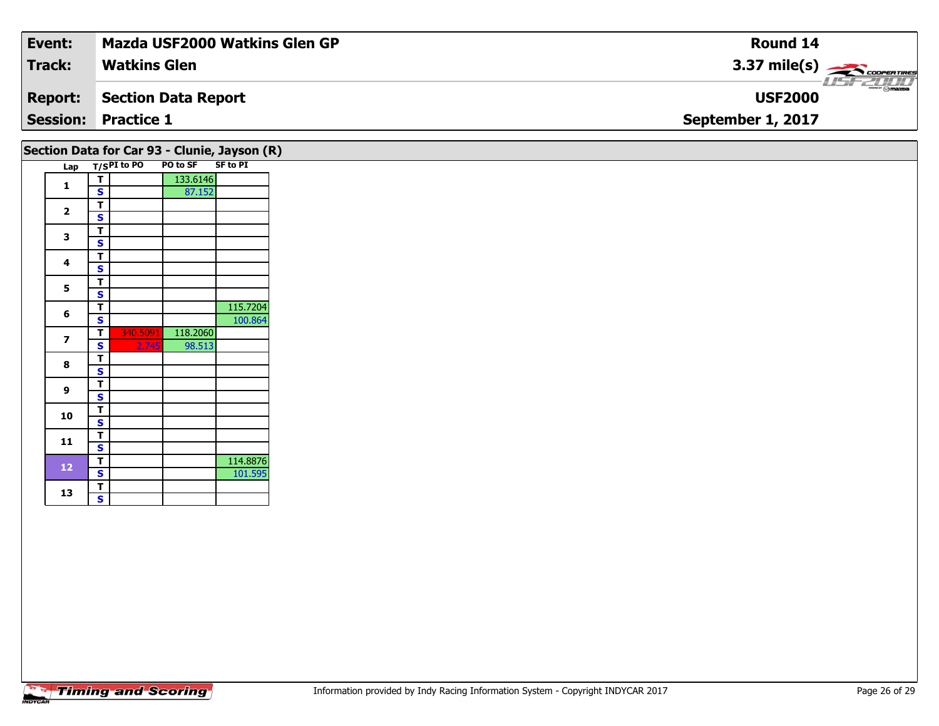| Event:         | <b>Mazda USF2000 Watkins Glen GP</b> | Round 14                               |
|----------------|--------------------------------------|----------------------------------------|
| <b>Track:</b>  | <b>Watkins Glen</b>                  | $3.37 \text{ mile(s)}$                 |
| <b>Report:</b> | Section Data Report                  | $ \frac{1}{2}$ mazoa<br><b>USF2000</b> |
|                | <b>Session: Practice 1</b>           | September 1, 2017                      |
|                |                                      |                                        |

|                          |     |              |             | Section Data for Car 93 - Clunie, Jayson (R) |                 |  |
|--------------------------|-----|--------------|-------------|----------------------------------------------|-----------------|--|
|                          | Lap |              | T/SPI to PO | PO to SF                                     | <b>SF to PI</b> |  |
| $\mathbf{1}$             |     | т            |             | 133.6146                                     |                 |  |
|                          |     | Ś            |             | 87.152                                       |                 |  |
| $\overline{\mathbf{2}}$  |     | T            |             |                                              |                 |  |
|                          |     | $\mathbf{s}$ |             |                                              |                 |  |
| 3                        |     | T            |             |                                              |                 |  |
|                          |     | Ś            |             |                                              |                 |  |
| 4                        |     | т            |             |                                              |                 |  |
|                          |     | S            |             |                                              |                 |  |
| 5                        |     | т            |             |                                              |                 |  |
|                          |     | S            |             |                                              |                 |  |
| 6                        |     | т            |             |                                              | 115.7204        |  |
|                          |     | S            |             |                                              | 100.864         |  |
| $\overline{\phantom{a}}$ |     | T.           | 340.5091    | 118.2060                                     |                 |  |
|                          |     | S            | 2.745       | 98.513                                       |                 |  |
| 8                        |     | т            |             |                                              |                 |  |
|                          |     | S<br>T       |             |                                              |                 |  |
| 9                        |     | S            |             |                                              |                 |  |
|                          |     | T            |             |                                              |                 |  |
| 10                       |     | S            |             |                                              |                 |  |
|                          |     | т            |             |                                              |                 |  |
| 11                       |     | S            |             |                                              |                 |  |
|                          |     | т            |             |                                              | 114.8876        |  |
| 12                       |     | S            |             |                                              | 101.595         |  |
|                          |     | т            |             |                                              |                 |  |
| 13                       |     | S            |             |                                              |                 |  |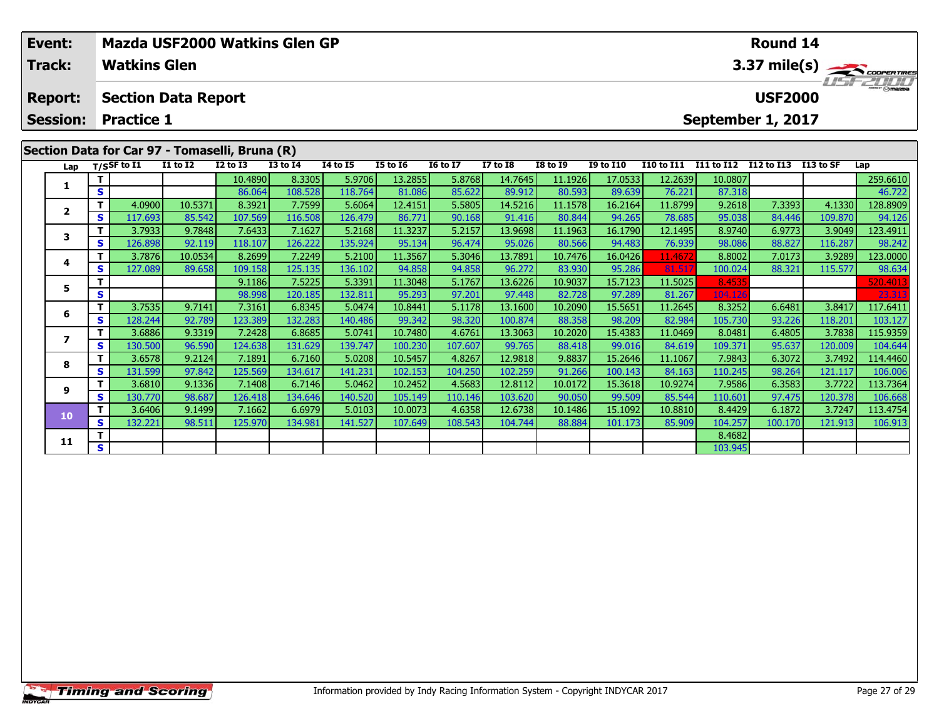|                                              | Event:                                         |          |                     | Mazda USF2000 Watkins Glen GP |              |                 |                 |                 |                 |                 |                 |                  |                        | Round 14          |                   |           |          |  |  |
|----------------------------------------------|------------------------------------------------|----------|---------------------|-------------------------------|--------------|-----------------|-----------------|-----------------|-----------------|-----------------|-----------------|------------------|------------------------|-------------------|-------------------|-----------|----------|--|--|
|                                              | Track:                                         |          | <b>Watkins Glen</b> |                               |              |                 |                 |                 |                 |                 |                 |                  | $3.37 \text{ mile(s)}$ |                   |                   |           |          |  |  |
| <b>Section Data Report</b><br><b>Report:</b> |                                                |          |                     |                               |              |                 |                 |                 |                 |                 | <b>USF2000</b>  |                  | <b>LISTED TO</b>       |                   |                   |           |          |  |  |
|                                              | <b>Session:</b>                                |          | <b>Practice 1</b>   |                               |              |                 |                 |                 |                 |                 |                 |                  |                        |                   | September 1, 2017 |           |          |  |  |
|                                              | Section Data for Car 97 - Tomaselli, Bruna (R) |          |                     |                               |              |                 |                 |                 |                 |                 |                 |                  |                        |                   |                   |           |          |  |  |
|                                              |                                                |          | Lap $T/SSF$ to I1   | <b>I1 to I2</b>               | $I2$ to $I3$ | <b>I3 to I4</b> | <b>I4 to I5</b> | <b>I5 to I6</b> | <b>16 to 17</b> | <b>I7 to I8</b> | <b>I8 to I9</b> | <b>I9 to I10</b> | <b>I10 to I11</b>      | <b>I11 to I12</b> | I12 to I13        | I13 to SF | Lap      |  |  |
|                                              |                                                |          |                     |                               | 10.4890      | 8.3305          | 5.9706          | 13.2855         | 5.8768          | 14.7645         | 11.1926         | 17.0533          | 12.2639                | 10.0807           |                   |           | 259.6610 |  |  |
|                                              |                                                | S        |                     |                               | 86.064       | 108.528         | 118.764         | 81.086          | 85.622          | 89.912          | 80.593          | 89.639           | 76.221                 | 87.318            |                   |           | 46.722   |  |  |
|                                              |                                                |          | 4.0900              | 10.5371                       | 8.3921       | 7.7599          | 5.6064          | 12.4151         | 5.5805          | 14.5216         | 11.1578         | 16.2164          | 11.8799                | 9.2618            | 7.3393            | 4.1330    | 128.8909 |  |  |
|                                              | 2                                              | <b>S</b> | 117.693             | 85.542                        | 107.569      | 116.508         | 126.479         | 86.771          | 90.168          | 91.416          | 80.844          | 94.265           | 78.685                 | 95.038            | 84.446            | 109.870   | 94.126   |  |  |
|                                              |                                                |          | 3.7933              | 9.7848                        | 7.6433       | 7.1627          | 5.2168          | 11.3237         | 5.2157          | 13.9698         | 11.1963         | 16.1790          | 12.1495                | 8.9740            | 6.9773            | 3.9049    | 123.4911 |  |  |
|                                              |                                                | S.       | 126.898             | 92.119                        | 118.107      | 126.222         | 135.924         | 95.134          | 96.474          | 95.026          | 80.566          | 94.483           | 76.939                 | 98.086            | 88.827            | 116.287   | 98.242   |  |  |
|                                              |                                                |          |                     |                               |              |                 |                 |                 |                 |                 |                 |                  |                        |                   |                   |           |          |  |  |

| Lap                     |          | 1753 <b>r</b> to 11 | 11 W 12 | 12 W 13 | 15 LO 14 | 14 LU 13 | 19 LU 10 | 10 LO 17 | 17 LU 10 | 10 LV 15 | 19 W 110 | 110 to 111 | 111 W 114 114 W 115 |         | . <del>.</del> | ∟aµ      |
|-------------------------|----------|---------------------|---------|---------|----------|----------|----------|----------|----------|----------|----------|------------|---------------------|---------|----------------|----------|
|                         |          |                     |         | 10.4890 | 8.3305   | 5.9706   | 13.2855  | 5.8768   | 14.7645  | 11.1926  | 17.0533  | 12.2639    | 10.0807             |         |                | 259.6610 |
|                         | S        |                     |         | 86.064  | 108.528  | 118.764  | 81.086   | 85.622   | 89.912   | 80.593   | 89.639   | 76.221     | 87.318              |         |                | 46.722   |
| $\overline{\mathbf{2}}$ | т        | 4.0900              | 10.5371 | 8.3921  | 7.7599   | 5.6064   | 12.4151  | 5.5805   | 14.5216  | 11.1578  | 16.2164  | 11.8799    | 9.2618              | 7.3393  | 4.1330         | 128.8909 |
|                         | S        | 117.693             | 85.542  | 107.569 | 116.508  | 126.479  | 86.771   | 90.168   | 91.416   | 80.844   | 94.265   | 78.685     | 95.038              | 84.446  | 109.870        | 94.126   |
| 3                       | т        | 3.7933              | 9.7848  | 7.6433  | 7.1627   | 5.2168   | 11.3237  | 5.2157   | 13.9698  | 11.1963  | 16.1790  | 12.1495    | 8.9740              | 6.9773  | 3.9049         | 123.4911 |
|                         | S        | 126.898             | 92.119  | 118.107 | 126.222  | 135.924  | 95.134   | 96.474   | 95.026   | 80.566   | 94.483   | 76.939     | 98.086              | 88.827  | 116.287        | 98.242   |
| 4                       |          | 3.7876              | 10.0534 | 8.2699  | 7.2249   | 5.2100   | 11.3567  | 5.3046   | 13.7891  | 10.7476  | 16.0426  | 11.4672    | 8.8002              | 7.0173  | 3.9289         | 123.0000 |
|                         | S        | 127.089             | 89.658  | 109.158 | 125.135  | 136.102  | 94.858   | 94.858   | 96.272   | 83.930   | 95.286   | 81.517     | 100.024             | 88.321  | 115.577        | 98.634   |
| 5                       | т        |                     |         | 9.1186  | 7.5225   | 5.3391   | 11.3048  | 5.1767   | 13.6226  | 10.9037  | 15.7123  | 11.5025    | 8.4535              |         |                | 520.4013 |
|                         | S        |                     |         | 98.998  | 120.185  | 132.811  | 95.293   | 97.201   | 97.448   | 82.728   | 97.289   | 81.267     | 104.126             |         |                | 23.313   |
| 6                       | т        | 3.7535              | 9.7141  | 7.3161  | 6.8345   | 5.0474   | 10.8441  | 5.1178   | 13.1600  | 10.2090  | 15.5651  | 11.2645    | 8.3252              | 6.6481  | 3.8417         | 117.6411 |
|                         | S        | 128.244             | 92.789  | 123.389 | 132.283  | 140.486  | 99.342   | 98.320   | 100.874  | 88.358   | 98.209   | 82.984     | 105.730             | 93.226  | 118.201        | 103.127  |
|                         | т        | 3.6886              | 9.3319  | 7.2428  | 6.8685   | 5.0741   | 10.7480  | 4.6761   | 13.3063  | 10.2020  | 15.4383  | 11.0469    | 8.0481              | 6.4805  | 3.7838         | 115.9359 |
|                         | S        | 130.500             | 96.590  | 124.638 | 131.629  | 139.747  | 100.230  | 107.607  | 99.765   | 88.418   | 99.016   | 84.619     | 109.371             | 95.637  | 120.009        | 104.644  |
| 8                       | т        | 3.6578              | 9.2124  | 7.1891  | 6.7160   | 5.0208   | 10.5457  | 4.8267   | 12.9818  | 9.8837   | 15.2646  | 11.1067    | 7.9843              | 6.3072  | 3.7492         | 114.4460 |
|                         | S        | 131.599             | 97.842  | 125.569 | 134.617  | 141.231  | 102.153  | 104.250  | 102.259  | 91.266   | 100.143  | 84.163     | 110.245             | 98.264  | 121.117        | 106.006  |
| 9                       |          | 3.6810              | 9.1336  | 7.1408  | 6.7146   | 5.0462   | 10.2452  | 4.5683   | 12.8112  | 10.0172  | 15.3618  | 10.9274    | 7.9586              | 6.3583  | 3.7722         | 113.7364 |
|                         | <b>S</b> | 130.770             | 98.687  | 126.418 | 134.646  | 140.520  | 105.149  | 110.146  | 103.620  | 90.050   | 99.509   | 85.544     | 110.601             | 97.475  | 120.378        | 106.668  |
| 10                      | т        | 3.6406              | 9.1499  | 7.1662  | 6.6979   | 5.0103   | 10.0073  | 4.6358   | 12.6738  | 10.1486  | 15.1092  | 10.8810    | 8.4429              | 6.1872  | 3.7247         | 113.4754 |
|                         | S        | 132.221             | 98.511  | 125.970 | 134.981  | 141.527  | 107.649  | 108.543  | 104.744  | 88.884   | 101.173  | 85.909     | 104.257             | 100.170 | 121.913        | 106.913  |
| 11                      |          |                     |         |         |          |          |          |          |          |          |          |            | 8.4682              |         |                |          |
|                         | s        |                     |         |         |          |          |          |          |          |          |          |            | 103.945             |         |                |          |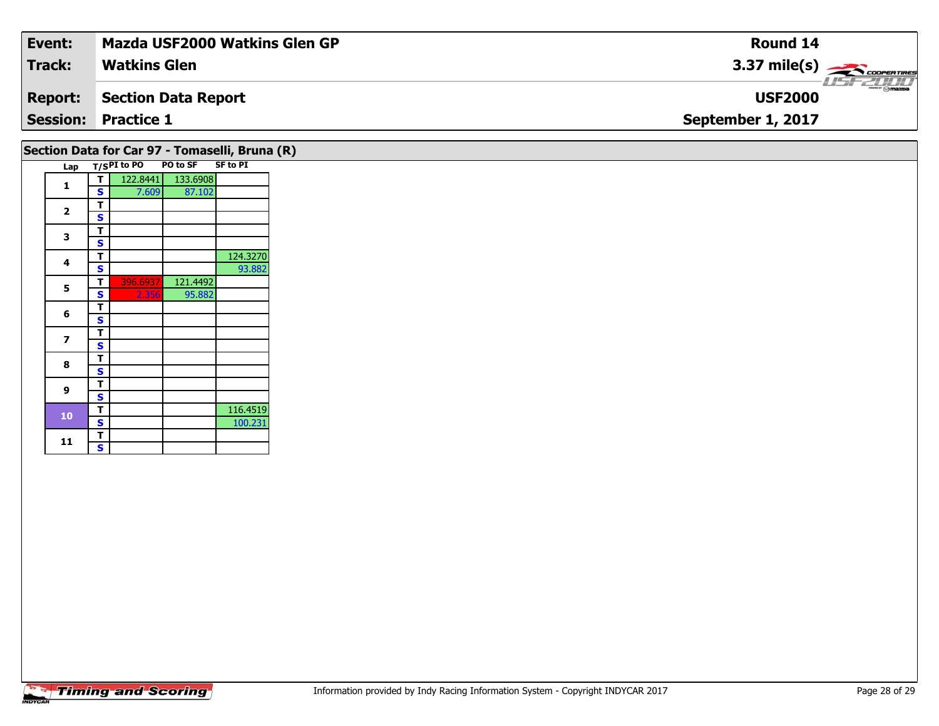| Event:          | <b>Mazda USF2000 Watkins Glen GP</b> | <b>Round 14</b>        |
|-----------------|--------------------------------------|------------------------|
| Track:          | <b>Watkins Glen</b>                  | $3.37 \text{ mile(s)}$ |
| <b>Report:</b>  | Section Data Report                  | <b>USF2000</b>         |
| <b>Session:</b> | <b>Practice 1</b>                    | September 1, 2017      |
|                 |                                      |                        |

|              |        |             | Section Data for Car 97 - Tomaselli, Bruna (R) |                 |  |
|--------------|--------|-------------|------------------------------------------------|-----------------|--|
| Lap          |        | T/SPI to PO | PO to SF                                       | <b>SF to PI</b> |  |
| 1            | т      | 122.8441    | 133.6908                                       |                 |  |
|              | S      | 7.609       | 87.102                                         |                 |  |
| $\mathbf{2}$ | т      |             |                                                |                 |  |
|              | S      |             |                                                |                 |  |
| 3            | т      |             |                                                |                 |  |
|              | S      |             |                                                |                 |  |
| 4            | т      |             |                                                | 124.3270        |  |
|              | S      |             |                                                | 93.882          |  |
| 5            | т      | 396.6937    | 121.4492                                       |                 |  |
|              | S      | 2.356       | 95.882                                         |                 |  |
| 6            | т      |             |                                                |                 |  |
|              | S      |             |                                                |                 |  |
| 7            | т      |             |                                                |                 |  |
|              | S      |             |                                                |                 |  |
| 8            | т      |             |                                                |                 |  |
|              | S      |             |                                                |                 |  |
| 9            | т      |             |                                                |                 |  |
|              | S<br>т |             |                                                | 116.4519        |  |
| 10           | S      |             |                                                | 100.231         |  |
|              | т      |             |                                                |                 |  |
| 11           | S      |             |                                                |                 |  |
|              |        |             |                                                |                 |  |